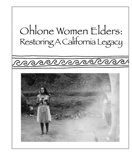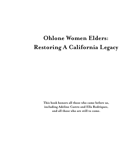## **Ohlone Women Elders: Restoring A California Legacy**

**This book honors all those who came before us, including Adeline Castro and Ella Rodriquez, and all those who are still to come.**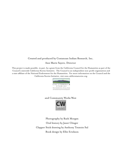#### Created and produced by Costanoan Indian Research, Inc, Ann Marie Sayers, Director

This project is made possible, in part, by a grant from the California Council for the Humanities as part of the Council's statewide California Stories Initiative. The Council is an independent non-profit organization and a state affiliate of the National Endowment for the Humanities. For more information on the Council and the California Stories Initiative, visit www.californiastories.org.



#### and Community Works West



Photography by Ruth Morgan Oral history by Janet Clinger Clapper Stick drawing by Anthony Totatzin Sul Book design by Ellie Erickson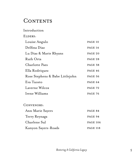### CONTENTS

| Introduction                    |                 |
|---------------------------------|-----------------|
| ELDERS:                         |                 |
| Louise Angulo                   | PAGE 10         |
| Delfina Diaz                    | PAGE 14         |
| Lu Diaz & Marie Rhyans          | PAGE 20         |
| Ruth Orta                       | PAGE 28         |
| <b>Charlotte Paes</b>           | PAGE 38         |
| Ella Rodriquez                  | PAGE 46         |
| Rose Stephens & Babe Littlejohn | <b>PAGE 56</b>  |
| Eva Tuosto                      | PAGE 64         |
| Laverne Wilcox                  | PAGE 72         |
| Irene Williams                  | PAGE 76         |
|                                 |                 |
| CONVENORS:                      |                 |
| Ann Marie Sayers                | PAGE 84         |
| Terry Reynaga                   | PAGE 94         |
| Charlene Sul                    | <b>PAGE 106</b> |
| Kanyon Sayers-Roads             | <b>PAGE 118</b> |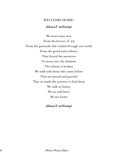#### WELCOME HOME!

#### **akkuyuT miSimipi**

We move away now From the horror of '49 From the genocide that trailed through our world From the greed and violence That forced the ancestors To move into the shadows The silence is broken We walk with those who came before They are proud and grateful That we made the journey to find them We walk in beauty We are still here! We are home

**akkuyuT miSimipi**

6 *Ohlone Women Elders*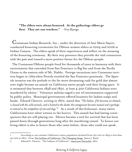**"The elders were always honored. At the gatherings elders go first. They are our teachers."** *-Terry Reynaga*

Costanoan Indian Research, Inc., under the direction of Ann Marie Sayers, conducted honoring ceremonies for Ohlone women elders in 2004 and 2006 at Indian Canyon. The elders speak of their experiences and reflect on the meaning of the honoring ceremony. By their very presence they provide the vital connection with the past and toward a more positive future for the Ohlone people.

The Costanoan/Ohlone people lived for thousands of years in harmony with their environment that extended from San Francisco to Big Sur and from the Pacific Ocean to the eastern side of Mt. Diablo. Foreign incursions into Costanoan territory began in 1769 when Portola traveled the San Francisco peninsula. The Spanish invasion was the prelude to the far more devastating rush for gold that almost over night became an assault on California native people and their living space. It is estimated that between 1848 and 1850, at least 4,500 California Indians were murdered by whites.<sup>1</sup> Volunteer militias waged a war of extermination supported by public policy. Municipal governments offered bounties for Indian scalps and heads. Edward Cheever, writing in 1870, stated that "*The Indian, if he becomes an obstacle, is classed with the wild animals, and is hunted to the death; this antagonism becomes mutual and is perhaps as natural as the antipathies of cats and dogs."2* As a result of this holocaust, many native Californians bore silent witness to the horror. This assault has had lasting consequences that are still playing out. Silence became a tool for survival that has been passed down through generations long after the murdering ceased. To honor our living elders is also to honor those who came before, those who could not speak.

<sup>1</sup> According to one estimate California's native population declined from 150,000 in 1845 to less than 30,000 in 1870. From The Indians of California: The Changing Image, James J. Rawls

<sup>2</sup> Edward E. Cheever, "The Indians of California", American Naturalist, 1870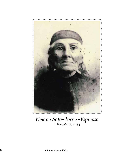

### *Viviana Soto-Torres-Espinosa b. December 2, 1823*

8 *Ohlone Women Elders*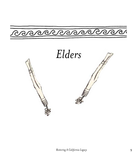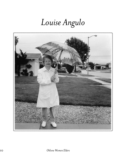# *Louise Angulo*

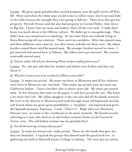Louise: My great-great grandmother owned property near the golf course off Hwy. 68. Mom said when the white man would come to collect taxes, she'd run and hide in the hills because she thought they were going to kill her. That's how they got her property. Patrick Orozco said she also had property in Carmel Valley, clear down to Big Sur. I know that my mom was Indian; that's all she ever said. I really don't know too much about it the Ohlone culture. We didn't go to any gatherings. They didn't have any ceremonies or anything. At one time there was nobody living in Santa Rita except all our relatives. There were no outsiders. After they passed away and then different ones came in, you don't know nobody out there now. My oldest brother stayed there until he passed away. My younger brother moved to town. I got married and moved here to Salinas. My oldest sister got married. My cousins eventually moved away.

*Q: Did your mother talk with you about being Ohlone and pass anything down to you?*

Louise: No, she just said that her mother and father were Indian and that was about it.

#### *Q: What does it mean to you to be considered an Ohlone woman elder?*

Louise: It makes me proud. My mom was born in Monterey and all her relatives were born in Monterey way, way back. That makes me proud cause my mom was California Indian. I have a brother who is ninety years old. My sister just passed away. In her obituary that came in the paper, it said how proud she was. She knew a lot more that I do. My oldest daughter is the one who did all the family research. We went to the diocese in Monterey and read through many old baptismal records and found where my great-great grandfather, a 'neophyte', was baptized and given the Spanish surname, Espinosa. I said, "That's it!" Right after our Monterey Diocese visit, we came to the courthouse to do more research. We found records referring to a man who died in an old Indian woman's home in the Corral de Tierra area. The old Indian woman was my grandmother!

*Q: Hoe did the honoring ceremony make you feel?* 

Louise: It made me feel proud, really proud. These are the beads they gave me; they are beautiful. I enjoyed the groups that danced and the good food too. A gathering was held at Hartnell Junior College in Salinas. The next day my ninety

#### *Restoring A California Legacy* 11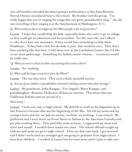year old brother attended the dance group's performance at San Juan Bautista. Patrick Orozco introduced him to the crowd. My brother told the group, "I'm really happy that you're singing the songs that our great-grandmother sang." An old wax recording of her singing is at the Smithsonian in Washington, D.C.

*Q: What would you like to see happen for the Ohlone people in the next generation?* 

Louise: I hope they would help the kids, especially those who want to go to college, so they could get an education and be successful. For the ones who can't afford it, who don't have any insurance, if they would have something to help them. Healthcare. If they had a club for the kids to join, that would be nice. They don't have anything like that here. I told them over at the Candelavia Center that I'd like to see more gatherings. Something for Indian senior citizens -- recreation would be really nice.

 *Q: When you were in school was there any teaching about native culture?*

Louise: No, nothing.

*Q: What could the larger society learn from the Ohlone?*

Louise: The way they lived. They were a kind, peaceful society.

*Q: Are any of your children or grandchildren interested in finding out more about their heritage?*

Louise: My grandsons, John Knappe, Eric Angulo, Barry Knappe, and granddaughter, Roxanne Dickinson all have an interest. They know they are California Indians and are proud of it.

*Work history ~*

Louise: I went one year to high school. My dad left to work in the shipyards up in San Francisco because that was the beginning of the War. He left my mom and my younger sister and me; we had no money, no food, no nothing. I was sixteen. My girlfriend and I went down on Front Street in Salinas to the American Laundry and got jobs working there. They paid fifty cents an hour. I supported my mom and sister and myself. I worked there maybe two years. The school officials caught up with me and made me go to night school. Then my dad came back. I got married and I didn't work until my youngest girl was going to graduate from high school. I have four children. I worked at Laurel Inn for nine years until I quit to take care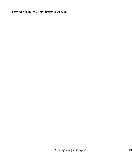of my grandson while my daughter worked.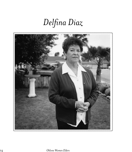# *Delfina Diaz*

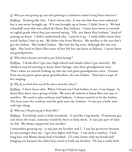#### *Q: When you were growing up, were there gatherings or celebrations related to being Native American?*

Delfina: Nothing like that. I don't know why. It was not that they were ashamed, but it was never brought up. If it was brought up at home, I didn't hear it. We had a baseball team that was called the Santa Rita Indians. I must have been in seventh or eighth grade when they just started saying, "Oh, you Santa Rita Indians," kind of putting us down. I didn't understand why. I just let it go. I really didn't know how much Indian I had in me. My father was from Mexico. My mother is the one that's got the Indian. She looked Indian. She had the big nose, although she was very light. She lived in Santa Rita most of her life but was born in Salinas. I never knew my grandparents.

#### *Q: When did you become interested in your Indian heritage?*

Delfina: I think after I got into high school and maybe when I got married. My children started wanting to know their lineage, who their grandparents were. That's when we started looking up who my real great-grandparents were. Viviana Soto was my great-great-great grandmother; she was Indian. They have a tape of her singing.

#### *Q: Why do you think there was all this silence about the culture?*

Delfina: I don't know why. When I found out I had Indian in me, I was happy. In Santa Rita there was a group of kids. We were all related in Santa Rita one way or another. We used to play cowboys and Indians. I always wanted to be the Indian. The boys were the cowboys and the girls were the Indians. It was just a hide-andseek type thing.

#### *Q: What was it like growing up in Santa Rita?*

Delfina: Everybody used to help everybody. It was like a big family. If someone got sick down the road, someone would be there to help them. It was just part of what we did. We always supported one another.

I remember growing up – it was just my brother and I. I was his protector because he was younger than me. I got into fights with boys. I was such a tomboy. I had long hair and Mama always had it braided. I'd come home with my braids half hanging out because the older boys tried to bully my brother. He was a sickly little

#### *Restoring A California Legacy* 15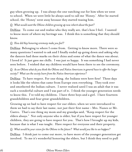guy when growing up. I was always the one watching out for him when we went to school. When we were little he always used to call me 'Honey.' After he started school, the 'Honey' went away because they started teasing him.

#### *Q: What would want the Ohlone children growing up now inherit about the past?*

Delfina: To come out and realize who they really are, that's how I feel. I wanted to know more of where my heritage was. I think this is something that they should know.

#### *Q: How did they honoring ceremony make you feel?*

Delfina: Belonging to where I come from. Getting to know more. There were so many questions I wanted to ask and I finally ended up going down and asking why the dancers had these marks on their chins and some of what the dance was about. I loved it! It just gave me chills. I was just so happy. It was something I had never seen before. I wished that my children would have been there to see the ceremony.

*Q: As an Ohlone what do you think the Ohlone and Native Americans in general have to offer the larger society? What can the society learn from the Native American experience?*

Delfina: To have respect. For one thing, the Indians were here first! These days it looks like the whites that came from Europe own everything. They took over and smothered the Indian culture. I never realized until I was an adult that it was such a wonderful culture and I was part of it. I think the younger generation needs to know this. I've told my children. I have three boys and a girl. I have fourteen grandchildren and four great-grandchildren.

Growing up we had to have respect for our elders; when we were introduced to them we had to say their last name, not just their first name – Mrs. Nunez or Mr. Castro. That's one thing my mom and my grandpa said, "Keep respect for the elders always." Not only anyone who is older, but if you have respect for younger children, they are going to have respect for you. That's how I brought up my kids, because that is what I was taught. Have respect for everyone and their property.

*Q: What would be your vision for the Ohlone in the future? What would you like to see happen?*

Delfina: I think just to come out more, to have more of the younger generation get involved. To me it's wonderful honoring the elders, but I think they need to pull

#### 16 *Ohlone Women Elders*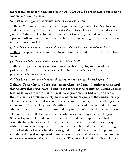more from this next generation coming up. That would be great just to get them to understand who they are.

*Q: What was the trigger for your renewed interest in the Ohlone culture?*

Delfina: My mom and step-dad used to go to a lot of parades. Lu Diaz' husband, Paul, had a dance group in the early sixties/seventies. They were in parades at San Juan and Salinas. That stirred my interest, just watching them dance. From there I just kept off and on thinking about it, but really not getting into it, because I was trying to raise four kids.

*Q: As an Ohlone woman elder, is there anything you would like to pass on to the next generation?*

Delfina: Be proud of who you are! Regardless of what mixed nationality you have in you.

*Q: What do you believe are the responsibilities of an Ohlone elder?*

Delfina: To get the next generation more involved in going to some of the gatherings. I think that is what we need to do. I'll do whatever I can do, and participate whenever I can.

*Q: What do you see as your involvement in the cultural restoration process that is taking place?*

Delfina: To do whatever I can, participate whenever I can. I think it is wonderful that we have these gatherings. Some of the songs they were singing, Patrick Oroszco told me later, were songs that my great-great grandmother had sung on a tape. I thought that was pretty neat. My mother never, never spoke of the Indian heritage. I knew that we were, but it was never talked about. If they spoke of anything, it was always in the Spanish language. As little kids we were sent outside. I don't know whether they didn't want us to know, but they never spoke of it. I don't know why.

I knew the one I called my grandfather, who was actually my great-uncle, Jose Silvano Espanoza, looked like an Indian. He was dark-complexioned, had the nose, the high cheekbones. I loved him dearly. I was his favorite. I was always with him. We were always in the garden planting. He taught me about planting and talked about herbs, what they were good for. I do recall a few things. We'd talk about things that happened there years ago. He would take my brother and me on walks sometimes. We had a place called The Lane. He'd pick different kinds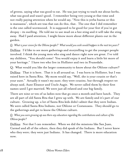of greens, saying what was good to eat. He was just trying to teach me about herbs, what was good and wasn't good. I remember being very young at that time and not really paying attention when he would say, "Now this is yerba buena or this is mansania", which are teas that can do this, that. The one that I did remember is the one called wormwood. It is supposed to be good for your feet if you've got dropsy – its swelling. He told me to use mud on a bee sting and it will take the sting away. Had I paid attention, I might know more about different plants out in the garden.

*Q: What is your vision for the Ohlone people? What would you wish would happen in the next ten years?*

Delfina: I'd like to see more gatherings and storytelling to get the younger people involved. I think the young men who sing and dance right now are great. I've told my children, "You should come! You would enjoy it and learn a little bit more of your heritage." I have two who live in Hollister and two in Prunedale.

Q: What would you like the larger community to know about the Ohlone culture?

Delfina: That it is here. That it is all around us. I was born in Hollister, but I was raised here in Santa Rita. My mom would say, "Well, she is your cousin or that's your aunt." Actually it wasn't my aunt; they were cousins, but through respect we always said, Aunt Eleanor and Uncle Augie. We never called them by their first names until I got married. We were just all related and one big family.

There are nine or ten of us ladies now that go once a month and have lunch. They are all part of old Santa Rita that I grew up with. We are family and it's part of our culture. Growing up, a lot of Santa Rita kids didn't admit that they were Indian. We were called Santa Rita Indians, not Ohlone or Costanoans. They should go to the gatherings and get to know the Ohlone culture.

*Q: When you were growing up was there any education regarding the contributions and culture of the Ohlone people?*

Delfina: Not that I can remember. When we did the missions like San Juan, Carmel and all of the others, then they did speak of the Indians. But I never knew who they were; they were just Indians. It has changed. There is more education now.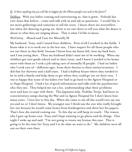#### *Q: Is there anything else you will like to happen for the Ohlone people now and in the future?*

Delfina: With you ladies coming and interviewing us, that is great. Nobody has ever done that before – come and talk with us and ask us questions. I would like to see more gatherings and someone to tell the story. I know there are storytellers, but when the dancing is going on, there is no one there to tell you what the dance is about or what they are singing about. That is what I'd like to know.

#### *Work history* ~Board and Care for Mentally Ill

My husband, Tony, and I raised four children. First of all I worked in the fields. I know what it is to work out in the hot sun. I have respect for all those people who are out there in that field, because I know how my knees felt, how my back hurt, and I was young then. Then my husband didn't want me to be working. When my children got into grade school and in their teens, and I knew I needed to be home more with them so I took a job taking care of mentally ill people. I had six ladies who I took care of – different ages, from their thirties to their sixties/seventies. I did that for thirteen and a half years. I had a halfway house where they needed to be in with a family and help them to get where they could go out on their own. I was so happy that none of my ladies ever had to go back to the Agnew Hospital or to Napa Hospital. I had a lot of good information and talks with the psychiatrists who they saw. They helped me out a lot, understanding what their problems were and how to cope with them. This Japanese lady, Yoshiko Teraji, had been in concentration camps during the War and in Agnos Hospital for I don't know how many years. I love her to this day. When she came to me all she would ever say was yes and no or I don't know. My youngest son I think was the one who really brought her out because he would come home from kindergarten and show her his papers. That's how she started coming out. To this day we still keep in touch. The reason why I gave up home care: Tony and I kept wanting to go places and do things. One night I woke up and said, "I'm not going to renew my license this year. This is going to be the time for Tony and I to do what we want to do." My children were all out on their own then.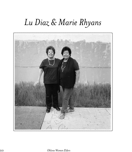## *Lu Diaz & Marie Rhyans*

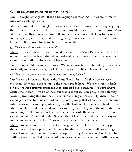#### *Q: What were you feelings about the honoring ceremony?*

 $L_{\mathbf{u}}$ : I thought it was great. It felt a belonging to something. It was really, really nice and satisfying to me.

Marie: I enjoyed it. I thought it was very nice. I didn't know what to expect going there because it was my first time for something like that. I very much enjoyed Ann Marie who really is a neat person. Of course we saw dancers that day too which were very enjoyable. I enjoyed learning everything about the culture that I didn't know. I felt honored for being honored as an elder.

#### *Q: What does that mean to be an Ohlone elder?*

Marie: I haven't given it a lot of thought, actually. Tells me I'm certain of getting older. I need to see how other elders feel and react. Some of them are certainly closer to the Indian culture than I have been.

 $Lu: I$ , too, would like to learn more. We were never in that kind of a group except for family so it's new to me, but I think it's great. I'd like to learn a lot more.

*Q: When you were growing up was there any reference to being Ohlone?*

Lu: We were known out here as the Santa Rita Indians. In that way we were together. We went to school up to the eighth grade here. When we were in high school, we were separate from the Mexicans and other cultures. We were always Santa Rita Indians. We knew that, but that is about it. Our people were all busy working and doing this and that. I remember being different. My uncle, who we called godfather, told me even when they were young, that when more people came into the area, they were prejudiced against the Indians. He had a couple of brothers who were blond and blue-eyed and they got the jobs. They were the ones who were invited to join the American Legion or whatever while the darker-skinned were called 'buckskins' and put aside. So even then I heard that. Maybe that's why we were amongst ourselves, I don't know. I remember hearing that a lot.

Marie: We were not referred to as Ohlone growing up. I think our society put them down. They stopped them from doing their cultural and religious things. They changed their names. It wasn't a popular thing, I believe, at that time to be an Indian, even though I think most of them were proud to be Indian. Still it was kept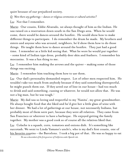quiet because of our prejudiced society.

*Q: Were there any gatherings – dances or religious ceremonies or cultural activities?*

Lu: Not that I remember.

Marie: Our cousin, Eddie Alvarado, we always thought of him as the Indian. He was raised on a reservation down south in the San Diego area. When he would come, there would be dances around the bonfire. He would show how to make different things to participate. I do remember the drum he made. My brothers and sisters and anyone who was around, neighbors, he'd show them how to do those things. He taught them how to dance around the bonfire. They just had a good time. I remember as a little kid seeing that. What he wore he would put together – some kind of Indian type dress, probably deer skin and feathers. I remember his moccasins. It was a fun thing to me.

 $L_{u}$ : I remember him making the arrows and the quiver – making some of those things was exciting.

Marie: I remember him teaching them how to use them.

Lu: Our dad's personality demanded respect. Lot of other men respected him. He wouldn't take too much from anybody because if they said something disrespectful, he might punch them out. If they acted out of line in our house – had too much to drink and said something, cussing or whatever, he would not allow that. He was not a big man, but he was tough. $^1$ 

Marie: My dad was so loving and respectful to my 'Nanita', my great-grandmother. He always bought food that she liked and he'd give her a little glass of wine with her dinner. We had a lot of gatherings at our house, not necessarily Indians, but probably most of them were part, because they were all relatives. They came from San Francisco or wherever to have a barbeque. He enjoyed getting the family together. My mother was a good cook so of course all the relatives liked that.

Lu: Colache is a squash, corn, tomatoes and onions dish. It's something like succotash. We went to Linda Yamane's uncle's, who is my dad's first cousin, one of his favorite cousins – the Barcelons. I took a big pot of that. He was so happy to eat

1 *He was a descendant of the first governor of California under Spanish rule.*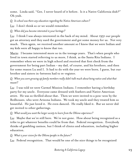some. Linda said, "Gee, I never heard of it before. Is it a Native California dish?" Oh yeah.

*Q: In school was there any education regarding the Native American culture?*

Lu: I don't think so or we would remember.

*Q: When did you become interested in your heritage?*

Lu: I think I was always interested in the back of my mind. About 1951 our people got an attorney and they sued the government and got some money for us. Not very much. Then again, we received another amount so I knew that we were Indian and my kids were all happy to know that too.

Marie: I became interested more so in the teenage years. That's when people who lived in town started referring to us more, I think, as the Santa Rita Indians. I remember when we were in high school and received that first check from the government for being part Indian – my dad, of course, and his brothers, and then for some reason Lu and I. It had to do with the year we were born, I guess, but our brother and sisters in-between had to re-register.

*Q: When you were growing up family members really didn't talk much about being native and what that meant?*

Lu: I was told we were Carmel Mission Indians. I remember having a birthday party for my uncle. Everyone came dressed with feathers and Native American attire. He was so thrilled about that. Then we were invited to a pow-wow by the Redhouses, who were Arizona Indians. We took my uncle and they treated him so beautiful. He just loved it. He even danced. He really liked it. But we never did get invited to other gatherings.

*Q: What would you want the larger society to learn from the Ohlone experience?*

 $L$ u: Maybe that we're still here. We're not gone. How about being recognized as a tribe to get whatever benefits could be from that. Federal recognition. Everybody thinks of gambling casinos, but I think of clinics and education, including higher education.

*Q: What is your vision for the Ohlone people in the future?*

Lu: Federal recognition. That would be one of the nice things to be recognized

*Restoring A California Legacy* 23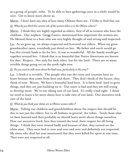as a group of people, tribe. To be able to have gatherings once in a while would be nice. Get to know more about us.

Marie: I don't have any idea of how many Ohlone there are. I'd like to find that out. *Q: What do you think the current role of the women elders is in the Ohlone culture?*

Marie: I think they are highly regarded as elders, first of all as women who have the children. Our nephew, Gregg Castro, mentioned how important the women are. He likened them to a bear who was very highly thought of and strong and respected.

Lu: As we grew up, we always respected and honored our elders. When my greatgrandmother came, everybody just doted on her. My father and uncle would go buy this certain lamb to fix for her. It was so wonderful. All the family would get together around her. I think that is so beautiful that Native Americans are known for that. Respect. Not only for each other, but for the land. There are so many terrible things going on on the earth right now.

#### *Q: Do you want to talk more about the land issue, particularly in this area?*

Lu: I think it is terrible. The people who run the cities and counties have no heart because they come from here and there. They don't think of the future; they think of now. Money. We have a beautiful land here. It is farm land, land to grow things, and they are just building on it. Our water is bad and they are still trying to develop more. We're not taking care of our land. It's really a bad sight. I think we need to learn a lot more about how to take care of our land. Our ancestors took care of the land.

#### *Q: What do you think your duties are as Ohlone women elders?*

Marie: Telling our children and grandchildren about the respect that should be due to not just the elders, but to all Indians in general, the tribes. Teach them what we have learned and then probably we should learn more about things ourselves. How our ancestors lived; how they treated the land, their respect for all living things. I think they were treated badly and because of that, they turned on the white man. They were lied to over and over and over and definitely not respected. My sister who died last year mentioned that they were killed for sport at one time. They were not respected at all.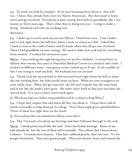$L<sub>u</sub>$ : To teach our kids by example. If we start learning more about it, they will too. I know they already feel a love for Native Americans. But they need to learn more and get involved. Everybody is busy raising their kids or grandkids, like I was twenty or thirty years ago. That's what they're doing now too – trying to make a living. Husband and wife are working now.

#### *Work history ~*

Lu: I didn't go to work until my son was fifteen. I had three sons. I was a baker and a cook right down the hill here where I went to school as a kid. I liked that. I used to start at the crack of dawn and be home when they all got out of school. Then I had grandkids we were raising. We used to bake and cook and do everything from scratch. I worked for seventeen years.

Marie: I was working through having most of my five children. I retired here in Salinas after twenty-five years at Natividad Medical Center as a medical unit clerk. I worked in different areas – emergency room, ended up in X-ray. In the middle of this I was trying to raise my kids. My husband was not around.

Lu: Thank God she moved back to this area and lived right down the hill so when she was working later, her kids would come up here. When we were youngsters we were really close. When she got married, she left and I stayed, but she came back and it was like she hadn't been gone. My other sister lived in San Jose and then she moved back. It is nice to have sisters back again.

*Q: What do you hope your children and grandchildren will do in relation to being Ohlone?*

 $L$ u: I hope they respect that and learn all they can about it. I hope there will be funds eventually to help them go to college. Now I have eight great-grandchildren. Three of them live right here on the block.

*Q: How would you like to be remembered as Ohlone women elders?*

Lu: That I learned a lot about my heritage and then followed through to the end.

Marie: I think pretty much like she said. I love the Indian heritage. Some of my kids already do, but the rest of them will eventually. The culture that I know about, I admire. Certainly their bravery. They have suffered greatly, that's for sure. It's the people themselves. They were good people. They were honest, brave and treated the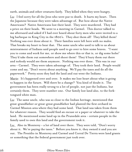earth, animals and other creatures fairly. They killed when they were hungry.

 $L_{u}:$  I feel sorry for all the Jews who were put to death. It hurts my heart. Then the Japanese because they were taken advantage of. But how about the Native Americans? Native Americans lost their land. They were murdered. They had a price on their heads. We went to a meeting in Carmel. This doctor talked to me afterward and asked if I had ever heard about forty men who were invited to a big barbeque in King City in the 1800's. They shot them all! They killed them! Nothing was ever done about it. Their families were left here with no males. That breaks my heart to hear that. The same uncle who used to talk to us about mistreatment of Indians said people used to go over to hire some braves. "I want you to come and work for me, or show me where this or that is, or dig some holes" They'd take them out somewhere and shoot them! They'd bury them out there and nobody would see them anymore. Nothing was ever done. This was in our area – Carmel. They were taken advantage of. They took their land. People would come and say, "Don't worry about anything. We'll pay the taxes and do all the paperwork." Pretty soon they had the land and out went the Indians.

Marie: It's happened over and over. It makes me lose heart about what is going to happen in the future. Will there be a change? You kind of doubt it. The government has been really wrong to a lot of people, not just the Indians, but certainly them. They were number one. Our family lost land also, to the forktongued white man.

Lu: The same uncle, who was so close to the Indian heritage, mentioned that great-grandfather or great-great grandfather had planted the first orchard in Carmel Mission area where they had some land. That land was taken from them for whatever reason. They would find an excuse or a paper or whatever to take the land. He mentioned some land up in the Prunedale area – certain people in the family used to own this land and the government took it.

Lu: Also in Monterey – a lot of land over there. They were told, "Don't worry about it. We're paying the taxes." Before you knew it, they owned it and you are out. The Presidio in Monterey and Carmel and Corral De Tierra were land grants or something that the federal government just took over.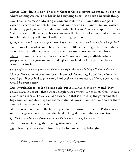Marie: What did they do? They sent them to these reservations out in the boonies where nothing grows. They hardly had anything to eat. It's been a horrible thing.

Lu: That is the reason why the government took five million dollars and paid each one a certain amount, but they took millions and millions of dollars worth of land. They just paid a little piddly amount. The Native Americans up in Northern California were all mad at us because we took the little bit of money, but who wants to hold out. They still haven't gotten anything up there.

*Q: If you were able to influence the future regarding this land issue, what would be fair for native people?*

 $L$ u: I don't know what could be done now. I'd like something to be done. Maybe recognize that it did belong to the people. Get some government land back.

Marie: There is a lot of land in southern Monterey County available, where our people were. The government should give some land back, or pay the Native Americans for it.

*Q: If the federal and state governments did what was right, what would be fair for Native Californians?*

Marie: Give some of that land back. If you ask for money, I don't know how that would go. If they had to give some land back to the ancestors of these people, that would be even better.

Lu: I would like to see land come back, but is it all taken over by whom? How about down the coast – that's where people were anyway. Or even Ft. Ord – there's a lot of land there. There is a lot down south that is owned by the government, a big chunk of land down by Los Padres National Forest. Somehow or another there should be some land available.

 $M$ arie: When we went to the burning ceremony<sup>2</sup> down near the Los Padres Forest one of the guys mentioned that that land belonged to the Indians at one time.

*Q: What is the importance of ceremony, such as the honoring ceremony for the elders?*

 $Marie: For me it is togetherness – getting together.$ </u>

 $L$ u: Showing respect also. Honoring the Indian culture, belonging.

<sup>2</sup> *The burning ceremony is a Salinan cultural ceremony. It is letting go/saying goodbye.*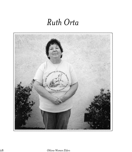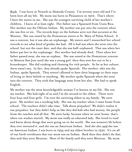Ruth: I was born in Newark in Alameda County. I'm seventy years old and I've been here all my life. My mom was born in Pleasanton in 1902. That's where I have the native in me. She was the youngest surviving child of her mother's children. I know of at least eight. Her father was a Spaniard from Costa Rica. Her mother was the Ohlone Indian. My mother was put into the convent when she was five or six. The records kept on the Indians were not that accurate at the Mission. She was raised by the Dominican sisters at St. Mary of Palms School. It was a convent, but it was also an orphanage. My sisters and I researched her school records to see what kind of grades she had. All it had was when she went into the school, but not the exact date, and that she was half-orphaned. That was when her father put her in the orphanage. Her mother had already died. Then when her father passed away, she was an orphan. She was raised at the Dominican convent in Mission San Jose until she was a young girl, then they sent her out to be a housekeeper. She did cooking and cleaning for rich people. As far as her culture, there wasn't any. In fact, they already spoke Spanish. Her mother, who was the Indian, spoke Spanish. They weren't allowed to have their language or their ways of living or their beliefs or anything. My mother spoke Spanish when she went into the convent. They took that language away from her also. She had to speak English.

My mother was the most knowledgeable woman I've known in my life. She was my teacher. She had eight of us and I'm the second to the oldest. There were four boys and four girls. I'm now the surviving eldest in my family. We were poor. My mother was a working lady. She was my teacher when I came home from school. The teachers didn't take time. Talk about prejudice! We didn't realize it was prejudice, but they didn't help us like they did kids who had money, the people from the ranches and all that. We were lucky, because when we went home, that's when our studies started. My mom was really an educated lady. She loved to read and know about things that were going on in the world. She was women's lib before they ever invented it, and she was an American Indian. And she also said she was an American Indian. I was born in 1934 and my oldest brother in 1932. It's on all of our birth certificates that our mom was an Indian. Back then they didn't do that; they said they were Mexican. Most of the family said they were Mexican. My mom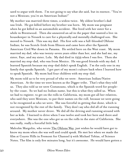used to argue with them. I'm not going to say what she said, but in essence, "You're not a Mexican; you're an American Indian!"

My mother was married three times, a widow twice. My oldest brother's dad was Irish. He got killed before my brother was born. My mom was pregnant when he got killed in an automobile accident. She lived with her sister for a while in Brentwood. Then she answered an ad in the paper that wanted a live-in housekeeper in Newark to care for a physically and mentally challenged son. She moved to Newark. This was my dad. His first wife was a full-blooded Ohlone Indian; he was Scotch-Irish from Illinois and came here after the Spanish American Civil War down in Panama. He settled here on the West coast. My mom married my dad, who was twenty-seven years older than her, and she had me, my sister, Faye, and my sister, Lola. My dad died in 1939 when I was five. Then she married my step-dad, who was from Mexico. He was good friends with my dad. I learned Spanish because my step-dad didn't speak English. I'm the only one in my family that speaks Spanish. I got part of my mom's culture back when I learned how to speak Spanish. My mom had four children with my step-dad.

My mom told us to be very proud of who we were: American Indian/Native American. At the time we were known as the Digger tribe. That's what they told us. They also told us we were Costanoans, which is the Spanish word for peopleby-the-coast. So we had no Indian name, but this is what they called us. When we had to register, to get on the rolls in California, my mom got all her relatives, who said they were Mexican, to put their names on the roll, because we were going to be recognized as who we were. She was forceful in getting that done, which is not recognized by the rest of the family. They don't say who did all of the running around. My mother never drove. We did all the driving and running around with her as kids. I learned to drive when I was twelve and took her here and there and everywhere. She was the one who got us on the rolls in the state of California. She was really, really a forceful little lady.

Malcolm Margolin, who wrote The Ohlone Way, just wishes he would have got to know my mom when she was well and could speak. He met her when we made the film at Coyote Hills in Fremont for Channel 9 with Michael Tobias, of Science Notes. The film is only five minutes long, but it's awesome. He would have gotten a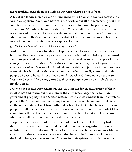more truthful outlook on the Ohlone way than where he got it from.

A lot of the family members didn't want anybody to know who she was because she was so outspoken. She would have said the truth about all of them, saying that they were Mexican and didn't want to say that they were Indian. She passed away in Newark in 1986 when she was eighty-four. We were allowed to go to church, but my mom said, "This is all God's world. We have it here in our house." No matter where we were, that's where he was. She didn't have to go into a house. My mom was not a religious fanatic; she was a spiritual woman.

#### *Q: What do you hope will come out of this honoring ceremony?*

 $Ruth: I hope it's an ongoing thing. I appreciate it. I know in age I am an elderly,$ but I feel like there are more people who are experienced who belong to that word. I want to grow and learn so I can become a real true elder to teach people who are younger. I want to do that as far as the Ohlone intern program at Coyote Hills. I take replicas of artifacts to school and talk to the kids who just love it, because there is somebody who is older that can talk to them, who is actually connected to the people who were here. A lot of kids don't know what Ohlone native people are. I want to do this. I know my granddaughter is going to continue it. She's really involved in it.

I went to the Menlo Park American Indian Veterans for an anniversary of their sweat lodge and found out that theirs is the only sweat lodge that is built on government property in the United States. I got to meet Indians from the western parts of the United States, like Kenny Farmer, the Lakota from South Dakota and all the other Indians I met from different tribes. In the United States, the native people are all one because we believe in the spiritual native way. That's what I like about doing things like that, because we are connected. I want it to keep going where we're all connected so that maybe it will change.

People were so respectful of the earth and of their Creator. I think they had their spiritual way that nobody understood, even like the organized religions – Catholicism and all the rest. The natives had such a spiritual closeness with their Creator and that's the reason why they didn't have pollution or any of that stuff in the land. They gave thanks to their Creator in their spiritual way. For example, you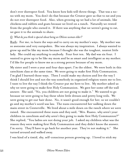don't ever disrespect food. You know how kids will throw things. That was a nono with my mom. You don't do that because the Creator gave us that to eat and you do not ever disrespect food. Also, when growing up we had a lot of animals, like chickens and rabbits and goats because we lived on a ranch. Naturally we rented from the people who owned it. If there was anything that we weren't going to eat, we gave it to the animals to share.

#### *Q: What do you think is special about being an Ohlone woman elder?*

Ruth: For me, to learn the ways and to carry on my mother's ways. My mother was so awesome and very outspoken. She was always my inspiration. I always wanted to grow up and be like my mom because I thought she was the toughest, neatest little lady. She could say anything to anybody. Four foot ten. My dad was six four. I wanted to grow up to be like my mom and be as smart and intelligent as my mother. I'd like for people to know me as a strong person because of my mom.

My sister and I were a year and four days apart; I'm the oldest. We were both in this catechism class at the same time. We were going to make first Holy Communion. I'm glad I learned those ways. Then I could make my choices and live the way I think I should live and not the way somebody in organized religion wants me to live. I want to live the way I think the Creator put me here to live. My mother asked us why we were going to make first Holy Communion. We gave her some off the wall answer. She said, "No, you children are not going to make it." We wanted to go because we were going to buy these white little dresses and pretty long veils. We were going to get our hair done. No, it wasn't good enough for her, so we couldn't go and my mother's word was law. The nuns encountered her walking down the main street in Centerville. We lived about a mile down on the ranch where we were raised. She encountered these nuns and they said, "Mrs. Ruano, why aren't your children in catechism and why aren't they going to make first Holy Communion?" She replied, "You ladies are not doing your job. I asked my children what was the reason they were making first Holy Communion and they didn't know the answer. I'm sorry. They'll have to go back for another year. They're not making it." She turned around and walked away.

I was kind of a timid, shy, self-conscious person growing up. I loved to stick my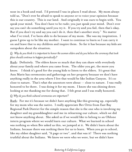nose in a book and read. I'd pretend I was in places I read about. My mom always told us, "Don't ever be afraid to speak to anyone or to voice your opinion because this is our country. This is our land. And originally it was ours to begin with. You speak your mind. You don't have to be rude; you just speak your mind. Don't ever say you can't do something until you try it. If you try and you fail, then that's okay. But if you don't try and say you can't do it, then that's another story." No matter what I've tried, I've been able to do because of my mom. She was my inspiration. I guess I grew up to be like my mother. I want to continue to learn so I can carry it on and leave that to my children and inspire them. So far it has because my kids are outspoken about the situation.

### *Q: Why do you think it is important to honor the women elders and do you believe the ceremony that took place should continue to happen periodically?*

Ruth: Definitely. The elders know so much that they can share with everybody about your family and where you came from. The older you get, the more you know. I think it's good for the young kids to listen to the elders. It's great that Ann Marie has ceremonies and gatherings on her property because we don't have anything really in the area where I live that would be like Indian Canyon. It's so close to nature. That's what the ancestors were about -- close to nature. I was really honored to be there. I was doing it for my mom. I know she was shining down looking at me thanking me for doing that. I felt great and I was really honored.

#### *Q: Why do you think cultural ceremonies are important?*

Ruth: For me it's because we didn't have anything like this growing up, especially for my mom who was the native. I really appreciate Bev Ortiz from East Bay Regional Park District for the simple reason that she is the one who is involving my daughter and my granddaughter and me in relearning our culture, which we did not know anything about. She asked us if we would like to belong to an Ohlone intern program where we would learn our culture. What we learned in school was nothing so when Bev asked us this, we jumped at it. We didn't learn about the Indians, because there was nothing there for us to learn. When you go to school, like my oldest daughter said, "A page or two", and that was it! There was nothing truthful about the Indians. We knew we were who we were, but we didn't have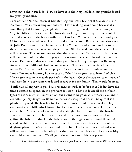anything to show our kids. Now we have it to show my children, my grandkids and my great-grandkids.

I am now an Ohlone intern at East Bay Regional Park District at Coyote Hills in Fremont. We're relearning our culture. I love making acorn soup because it's something that I know my people did. I'm learning to make the acorn soup at Coyote Hills with Bev Ortiz – leeching it, cracking it, pounding it – the whole bit. I actually cook it in the basket with the hot rocks. We cook it the first Sunday in October every year when we have the Ohlone gathering. Bev is the one who started it. Julia Parker came down from the park in Yosemite and showed us how to do the acorn and the soap root and the cordage. She learned from the elders. They still carry on. That amazed me too that there were other California Indians who still had their culture, their language. It was awesome when I heard the first one speak. I'm just sad that my mom didn't get to hear it. I got to speak at Berkeley for one of the California Indian conferences. That was the first time I heard a native Californian speak the language. I was so emotional. I understand that Linda Yamane is learning how to speak off the Harrington tapes from Berkeley. Harrington was an archaeologist back in the '20's. Once she gets to learn, maybe I can learn how to say some words and record it for my family. That would be neat.

 I still have a long way to go. I just recently retired, so before that I didn't have the time I wanted to spend on the program to learn. I have to learn all the different types of acorns, which I know a few, but I want to be good at it, where I can know everything. My daughter, Ramona, makes the soap root brush. Soap root is a plant. They made the brushes to clean their mortars and their utensils. They even used it as a little whisk broom to clean their mats or whatever. The plant is also edible. You can cook the bulb and make glue for the handle of the brush. They used it to fish. In fact they outlawed it, because it was so successful in getting the fish. It didn't kill the fish; it got in their gills and stunned them. My granddaughter, Sabrina, does the cordage. Cordage is a string made out of the dogbane plant. That's what they used for string. For baskets they used sedge and willow. As an intern I'm learning how they used to live. It's neat. I was over fifty years old when I learned. We all go to the schools and different places.<sup>1</sup>

<sup>1</sup> Since this interview took place, I have two more granddaughters who have become Ohlone interns at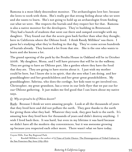Ramona is a most likely descendent monitor. The archaeologists love her, because she loves to work with them. She's really got that strong feeling about who we were and she wants to learn. She's not going to hold up an archaeologist from finding out what we were. She respects the burials and they respect her for that. Ramona is also a native monitor for the developers. They're building in Brentwood. They had a bunch of students that went out there and camped overnight with my daughter. They found out that the acorn goes back further than what they thought, here in California where the Ohlone lived. I think Randy Milliken<sup>2</sup> was there. I guess he's studying what they're finding in that dig. They've come across hundreds of burials already. They learned a lot from that site. She is the one who wants to learn and she knows a lot.

The grand opening of the park by the Peralta House in Oakland will be in October 2006. My daughter, Mona, and I will have pictures that will be in the walkway. They are going to have an Ohlone part, like a garden where they have the food that they ate. They are going to have stories about it. I just wish my mother could be here, but I know she is in spirit, that she sees what I am doing, and her granddaughter and her grandchildren and her great-great grandchildren. My granddaughter, Sabrina, who does the cordage, her kids want to get involved too. Christopher, my great-grandson, has a verse in our little flyer that we put out for our Ohlone gathering. It just makes me feel good that I can learn about my native ways.

#### *Q: Why are proud to be of Ohlone descent?*

Ruth: Because I think we were amazing people. Look at all the thousands of years that they lived here and did not pollute the earth. They gave thanks to the earth for giving them what they had. Whatever they took, they gave back to the earth. It's amazing how they lived here for thousands of years and didn't destroy anything. I wish I lived back then. It was hard, but even in my lifetime it was hard because we didn't have all the modern-day conveniences, but it was awesome growing up because you respected each other more. There wasn't what we have today;

Coyote Hills, East Bay Regional Park.

Randall Milliken is the author of A Time of Little Choice: The Disintegration of Tribal Culture in the San Francisco Bay Area 1769-1810.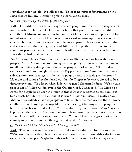everything is so terrible. It really is bad. There is no respect for humans or the earth that we live on. I think it's great to learn and to share.

#### *Q: What is your vision for the Ohlone people in the future?*

Ruth: The Ohlone need to be recognized as a people and treated with respect and not discarded. There's not a lot in our schools that you learn about the Ohlone or any other California or American Indian. I just hope they have an open mind for us and know that we're still here! When I was a kid growing up, it wasn't good to be a native, but thank God for my mom. She was so proud. My vision is my children and my grandchildren and great-grandchildren: I hope they continue to learn about our people so we can carry it on so it will never die. It will always be here. They almost had us all extinct.

Bev Ortiz and Nancy Olsen, mentors in my late life, helped me learn about my people. Nancy Olsen is an archaeologist/anthropologist. She was the first person to tell me different things about the native people. I asked her, "Why did they call us Ohlone? We thought we were the Digger tribe." We found out that it was a derogatory term used against the native people because they dug in the ground. My mom said to me after she found out that the Digger tribe was supposed to be a derogatory term, "You know what, kids, we're just California Indians. We're native people here." When we discovered the Ohlone word, Nancy said, "It's Miwok or Pomo for people by or near the water so this is what they wanted to call you. But to be exact, how do we find out that it is true?" That's my vision to really know what we were called, what our people were like. Maybe somebody out there knows, another elder. I enjoy gatherings like this because I get to mingle with people who have the same background as I do. We are Ohlone together. Look at Ann Marie; she kept her mother's land. My mom was from Pleasanton; that's where my people were from. That's nothing but wealth out there. We could have had a great part of the country to be ours, if we had the rights, but we didn't have them.

*Q: What do you think the Ohlone have to teach the larger society?*

Ruth: The family values that they had and the respect they had for one another. We're learning a lot about how they were with each other. I don't think the Ohlone were a violent people. Maybe in their world it was the end of where they were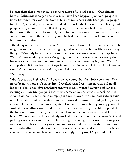because then there was water. They were more of a social people. Our climate here in California is so good so they must have been happy. I just want people to know how they were and what they did. They must have really been passive people to let the Spaniards just come here and take their land. They must have been good people. It's just unfortunate that the people who came here had other things in their mind other than religion. My mom told us to always treat someone just they way you would want them to treat you. She had that in her; it must have been in her mind her entire life.

I thank my mom because if it weren't for my mom, I would have never made it. She taught us so much growing up, giving us good values to use in our life for everyday living. We're only here for a while and then when we leave, everything stays here. We don't take anything where we're going. So just enjoy what you have every day because we may not see tomorrow and what happened yesterday is gone. We can't change that. If it was bad, just forget it and try to do better. I think a lot of people wouldn't have to see a shrink if they would think more like that.

#### *Work History ~*

I didn't graduate high school. I got married young, but that didn't stop me. I've never been without a job in my life. I worked since I was sixteen years old in all kinds of jobs. I have five daughters and two sons. I worked in very difficult jobs starting out. My first job paid eighty-five cents an hour; it was in a packing shed. It was horrible. They used to dump up the cauliflower. We had these rubber suits on. The water would come down on us. I worked in canneries and packing sheds and warehouses. I worked in a hospital. I ran a press in a check printing place. I worked in everything you could think of since I was sixteen years old. I operated the light rail trains in San Jose for Santa Clara Valley Transportation and I drove buses. When we were kids, everybody worked in the fields out here cutting 'cots and picking strawberries and cherries, harvesting corn and green beans. But this place was beautiful! It was so gorgeous. We used to go to the canyon with my mom for our Sunday dinners in the summer. It was so clean you could see the fish in Niles Canyon. It smelled so clean and now it's so ugly. It's gross; it's got junk in it.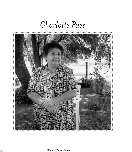# *Charlotte Paes*

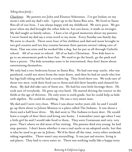# *Talking about family ~*

Charlotte: My parents are John and Eleanor Soberanes. I've got Indian on my mom's side and my dad's side. I grew up in the Santa Rita area. We lived in Santa Rita all of our lives. I was always happy with my childhood. We were poor. We got poor when my dad brought the other kids in, but you know, it made us stronger. My dad taught us family values. I have a lot of good memories about my parents. I never heard my dad say a cross word to my mom. Every Sunday was family day. We went to church. There were four of his children and dad and mom brought in two girl cousins and two boy cousins because their parents weren't taking care of them. That was nine and he worked like a dog, but he put us all through Catholic school. All of us went to school. All of us had a Christmas. Now kids have to go to an amusement park to have fun. We used to go the beach, go the park and have a picnic. The kids nowadays want to be entertained; they don't know about entertaining themselves.

We only had a two-bedroom house in Santa Rita. He had one step-uncle, who was paralyzed, could not move from the waist down, and then he had an uncle who lost his legs bull riding and he had a wooden leg. They lived there too. We took care of those two men, took their food out to them and did their laundry and cleaned for them. My dad did take care of them too. He had his own little heritage there. He took care of everybody. He grew up very hard. He started driving the tractor in the fields at the age of thirteen. He only went to sixth grade, but he could help us kids with algebra. He could do anything. He was a very smart man.

My dad and I were very close. When I was about twelve years old, he and I would go up there alone to Jolone Mission to a place called The Indians. It was about a three and a half hour drive. My dad went to The Indians to hunt deer. He would leave a couple of deer there and bring one home. I remember years ago when I was a little girl he and I would take food to them. They were Costanoan and very, very poor. That's where we did most of his visiting. His parents died very young; he had step-parents. I don't know whether it was a real uncle or an adopted uncle, but that is who he used to go see in Jolone. We'd be there all the time, every other weekend, taking vegetables. There wasn't any storytelling. It was just sad stories, living is sad places. They had to carry water in. There was nothing really like a happy story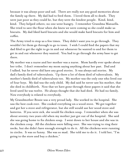because it was always poor and sad. There are really not any good memories about the family up there. My dad had to feed them. I loved them all to death. They were just poor as they could be, but they were the kindest people. Kind, kind, kind. They helped others; no one went hungry. I remember Grandma Manuella. She tried to save the flour when she knew we were coming so she could make us biscuits. My dad liked hard biscuits and she would make hard biscuits for him and coffee.

The Army tried to stop us a few times. They didn't want you to go through. They wouldn't let them go through to go to town. I wish I could find the papers that my dad filed to get the right to go in and out whenever he wanted to and for them to get in and out whenever they wanted. You had to go through the army base to get there.

My mother was a nurse and her mother was a nurse. Mom hardly ever spoke about her tribe. I don't remember my mom saying anything about her past. Dad and I talked, but he never did have any good stories. It was always sad stories. My dad's family died of tuberculosis. Up there a lot of them died of tuberculosis. My mother's family died of tuberculosis too. My mother was the only one who lived out of four boys. My dad was the only child. My dad said he never saw his mother, that she died in childbirth. Now that we have gone through these papers it said that she lived until he was twelve. He always thought that she had died. He had no family. Now everybody is related to everybody.

My Grandmother Bessie was a very proud lady. She worked in the hospital. She was the best cook ever. She cooked everything on a wood stove. We got together and got her a stove and refrigerator, but she still would use her wood stove and lanterns. If you were sick, she would fix chicken soup. I remember when she was about seventy-two years old when my mother just got out of the hospital. She said she was going home to fix chicken soup. I went down to her house and she was in the chicken coop. All the chickens were falling over. She was trying to ring their necks, but she didn't have enough strength to do it. All the chickens were running in circles. It was so funny. She was so mad. She told me to do it. I told her, "I'm going to the store and buy a chicken."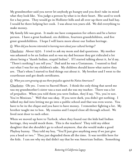My grandmother said you never let anybody go hungry and you don't take in mind what they look like. You judge a person by what is in their heart. She used to work for a hay press. They would go in Hollister hills and all over up there and bail hay. I would be there helping her cook. I was about ten years old. We did everything to make money.

My family life was great. It made me have compassion for others and be a better person. I have a great husband, six children, fourteen grandchildren, and five great-grandchildren. I hope I will learn more about our Indian heritage.

# *Q: When did you become interested in learning more about your cultural heritage?*

Charlotte: About 1970. I tried to ask my mom and dad questions. My mother was ashamed to be an Indian and so was my dad because they got ridiculed a lot about being a "dumb Indian, stupid Indian". If I started talking about it, he'd say, "There's nothing I can tell you." Dad said he was a Costanoan. I wanted to find out what I was for my children's sake. My children should know what native they are. That's when I started to find things out about it. My brother and I went to the courthouse and got death certificates.

#### *Q: When you were growing up was there prejudice against the Native Americans?*

Charlotte: Oh yes. I went to Sacred Heart. I think the only thing that saved me was my grandmother's sister was a nun and she was my teacher. There was a lot of prejudice. When you told them you were Indian, they'd say, "No, you're not. You're Mexican." Well that was okay. If you were dark, you didn't get nothing. I talked my dad into letting me go into a public school and that was even worse. You have to be in the clique and you have to have money. I remember fighting a lot. My brother taught me to box. My cousins and I stayed close all through school. We lived next door to each other.

When we moved up here to Turlock, when they found out the kids had Indian heritage, they would mock them. This is the teachers! They told my oldest daughter that she shouldn't go to school anymore, that she would make a good Playboy bunny. They told my boy, "You'll just give anything away if we just give you a bead or two." They just degraded them all the time. It was terrible here for the kids. I can see why my dad didn't say that he was American Indian. Something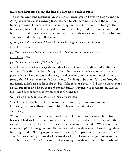must have happened along the line for him not to talk about it.

We buried Grandma Manuella on the Indian burial ground over in Jolone and the Army had their cattle running free. We had to ask them not to leave them in the burial ground. They said there was nothing they could do about it. Dad got the horses and he and Frank Avila got the cows out. They fixed the fence so we could have the burial of my dad's step-grandma. Everybody was ashamed to be an Indian. They got tired of being called names.

*Q: Are your children and grandchildren interested in knowing more about their heritage?* Charlotte: Yes.

*Q: When you were in school was there any teaching about Native American cultures?*

Charlotte: No.

*Q: Why are you proud to be of Ohlone heritage?*

Charlotte: My father always denied that he was American Indian and so did my mother. They did talk about being Indian, but he was mostly ashamed. I tried to get my dad and mom to talk about it, but they would never say too much. I'm just proud that I have American Indian in me. I'm happy about it. It's something that my family didn't care to hear about, but I like to hear about it. I'd like to know more about our tribe and know more about my family. My mother is American Indian too. My brother says that my mother is Ohlone too.

*Q: What are the responsibilities of being an Ohlone woman elder?*

Charlotte: To teach the children and the community so we can have more knowledge of our culture. I would like to learn more about it.

*Survival story ~* 

When my children were little and my husband left me, I was having a hard time because I had six kids. There was a lady at the Indian Lodge in Hollister who they called Indian Letta. Her husband was a big Scotsman. She said, "Why don't you come on up?" These guys from Salinas wanted some deer meat. I used to go deer hunting. I said, "I can get you a deer." He said, "I'll pay you thirty-five dollars." The fair was coming up for the kids for the 4H and I needed to get money to buy a lamb so I said, "Okay". I went up there and got the deer. She and her husband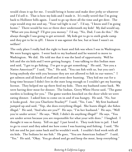would clean it up for me. I would bring it home and make deer jerky or whatever and I'd sell it. That is how my kids and I made it. It's really weird that I'm going back to Hollister hills again. I used to go up there all the time and get deer. The cops would stop me and say, "Your tail light is out". I'd say, "I know and I'm going home." There would be two or three deer underneath my kids! My dad would say, "What are you doing? I'll give you money." I'd say, "No, Dad, I can do this." He always thought I was going to get arrested. My kids got to go to sixth grade camp and they got to be in 4H. I know it was against the law, but at least I wasn't on welfare!

The only place I really had the right to hunt and fish was when I was in Washington. We were hungry again. I went back to my husband and he wanted to move to Washington. We did. He told me that it was the land of opportunity. Well he left and the six kids and I were getting hungry. I was talking to this Indian man and said, "I got to go fishing. I've got to go get something." He said, "Are you a Native American?" I said, "Yes." He said, "You can fish with us, but you can't bring anybody else with you because they are not allowed to fish in our waters." I got salmon and all kinds of stuff and went deer hunting. They hid me out for a long time because I didn't live in the state long enough so I couldn't get my hunting license. They helped me up there feed my kids. Then my husband came back. We were having deer meat for dinner. The Indian, Gerry White Horse said, "The game warden is looking for you." The game warden knocked on the door while we were eating dinner. I asked him to come on in and if was hungry. He said, "No, but it looks good. Are you Charlotte Stuckey?" I said, "Yes, I am." My first husband jumped up and said, "Yep, she does everything illegal. She hunts illegal; she fishes illegal." He said, "And who are you?" He says, "I'm her husband." He says, "Well you're under arrest." He says, "Well, I didn't do anything illegal!" He says, "You are under arrest because you are responsible for what your wife does." I laughed. I thought it was so funny. Tell on me! I just loved it. They took him to jail. I had to go to court and they asked me how come I was hunting and fishing. I said, "He left me and he just came back and he wouldn't work. I couldn't find work with all six kids. The Indians let me fish." He goes, "You are American Indian?" I said, "Yes." He said, "Okay. You go ahead and go and keep the meat, keep everything."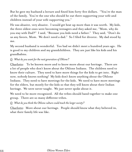But he gave my husband a lecture and fined him forty-five dollars. "You're the man of the family. You're the one who should be out there supporting your wife and children instead of your wife supporting you."

He was abusive, very abusive. I would get beat up more than it was worth. My kids, the three oldest ones were becoming teenagers and they asked me, "Mom, why do you stay with Dad?" I said, "Because you kids need a father." They said, "Don't do us any favors, Mom. We don't need a dad." So I filed for divorce. My dad stood by me.

My second husband is wonderful. Too bad we didn't meet a hundred years ago. He is good to my children and my grandchildren. They are just like his kids and his grandbabies.

# *Q: What do you want for the next generation of Ohlone?*

Charlotte: To be known more and to know more about our heritage. There are a lot of people who don't know about the Ohlone Indians. The children need to know their culture. They need to have more things for the kids to get into. Right now, nobody knows nothing! My kids don't know anything about the Ohlone Indians. They need to have meetings for the kids. We need to have more meetings for the elders, but mostly for the kids so that they will know about their Indian heritage. We were never taught. We just never spoke about it.

We need to be more recognized. All the tribes should band together to make one group. There are so many different tribes.

*Q: What do you think the Ohlone culture could teach the larger society?*

Charlotte: More about our heritage. People should know what they believed in, what their family life was like.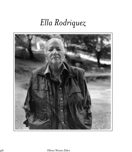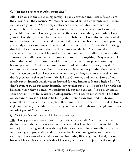#### *Q: What does it mean to be an Ohlone woman elder?*

Ella: I know I'm the elder in my family. I have a brother and sister left and I am the eldest of all the cousins. My mother was one of sixteen or seventeen children, so that's a big family. One of my aunties had sixteen children; another had eleven. I have three aunties and one uncle who are between six months and ten years older than me. I've always been like the rock to everybody, even when I was young. Everybody seemed to come to me. I'd listen and I wouldn't tell them what to do. I advise them – you can do this or that. I've always been wise way beyond my years. My aunties and uncle, who are older than me, still don't have the knowledge that I do. I was born and raised in the mountains, the Mt. Madonna Mountains, redwoods instead of oaks. I learned more from my dad than I did from my mother. It seems like Indian women really don't want to discuss anything. Maybe way back when, they would pass it on, but within the last two or three generations they haven't passed it. Possibly because it is so mixed with other cultures, they don't want to pass it down. I was almost three years old when my grandmother died and I faintly remember her. I never saw my mother grinding corn or any of that. We didn't grow up in that tradition. My dad was Cherokee and white. Some of my family spoke Spanish which was traditional for any Indian to learn a little of it. We didn't even grow up speaking Spanish. My mother spoke a little off and on with her brothers when they'd come. We understood, but my dad said, "You're American. Talk English!" I didn't learn to speak Spanish until I was in my thirties. I did that on account of my job; I had to be bilingual. I went down and lived in Mexicali, across the border, rented a little place there and learned from the little kids between eight and twelve years old. I learned so good that a lot of Mexican people would ask me what part of Mexico I was from.

#### *Q: What do you hope will come out of the honoring ceremony?*

Ella: Every year they have an honoring of the elders at Mt. Madonna. I attended the first few of them. It was about ten years ago that I was honored as an elder. It wasn't just for being an elder with grey hair; it was what I have contributed on the monitoring and preserving and protecting burial sites and getting out there and yapping. They wanted me before to start becoming like religious. I said, "I can't because I have a few cuss words that I haven't got out yet. I'm just not the religious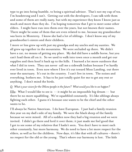type to go into being humble, to being a spiritual advisor. That's not my cup of tea. I'm headstrong and I can't. Getting out with the developers, I can talk with them and some of them are really nasty, but with my experience they know I know just as much and more than they do. I'm hoping tomorrow that I get to meet some other elders. I might have run into them over the years, but not known their names. There might be some of them that are even related to me, because my grandmother was born in Monterey. I know she had a lot of siblings. I don't know any of my grandmother's sisters and their children.

I more or less grew up with just my grandpa and my uncles and my aunties. We all grew up together in the mountains. We were secluded up there. We didn't have a car, no means of getting any place. My dad did have a saddle horse, but you can't load them all on it. So we used to walk into town once a month and get our supplies and then hoof it back up to the hills. I learned a lot more outdoors that what I did in town. They can never call me a sidewalk Indian because I've hardly ever lived in town. Even now where I live it's out toward Moss Landing, out there near the sanctuary. It's out in the country. I can't live in town. The noises and everything, bothers me. It has to be just totally quiet for me to get any rest or anything. I don't mind the birds.

#### *Q: What is your vision for the Ohlone people in the future? What would you like to see happen?*

Ella: What I would like to see is -- it might be an impossible big dream -- but there be no more squabbling. We've squabbled constantly. It's like siblings always fighting each other. I guess it's because one wants to be the chief and the other wants to be.

I'll always be Native American. I do have European. I just had a family reunion this year on my dad's side of my family. We were the black sheep of the family because we were mixed. All of a sudden now they had a big reunion and we were invited. I didn't go there and lord it over them; it just made me feel good that I got to see some of my relatives that I hadn't seen. You don't have to meet each other constantly, but more harmony. We do need to have a lot more respect for the elders, as well as for the children. Now days, it's like that with all cultures – there's no respect for the old or the young. That's where our harmony is lost. The kids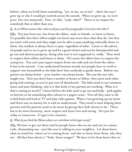before, when we'd tell them something, "yes, m'am, no m'am" – that's the way I grew up or else I would get swatted across the mouth. When we grew up, we were poor, but very mannerly. Now, it's like, "yeah, what?" There is no respect for somebody that is older than you.

#### *Q: As an Ohlone woman elder, what would you want the young people to learn from the elders?*

Ella: Not just from me, but from the elders, male or female, to learn to listen. It's possible that their elders might not know any more than what they do, but they are wiser with years and they might not be able to pass anything culturally down to them, but wisdom is always there to pass, regardless of what. Listen to the advice of people and to try to grow up and be a good citizen and not be disrespectful and go out and destroy property, doing what you're not supposed to, really. They need to respect their elders and listen to them. Of course the elders have to respect the young too. You can't just expect respect from one side and not from the other. It has to be earned. I can understand because mostly two people have to work to support one household so the kids don't have anybody to guide them. Before one parent was always home – your mother was always home. She was the one who taught you. Now you don't have a mother at home or father; they meet each other going and coming, so you're just sort of abandoned. The kids need to use common sense and start thinking, why is it that both of my parents are working. What is it that's costing so much? I know before the kids used to go out and help – pick apples or berries or do something after school or a paper route. Now all they want to do is kick back and look at TV and play video games. When I was growing up my mom said there was no money for it and we understood. They need to start helping their parents and the parents need to do more by giving their kids chores to do. There has to be more harmony, more respect and more love and caring. Not just for today or tomorrow. It's got to be constant.

#### *Q: What do you think the Ohlone culture can contributes to the larger society?*

Ella: We have to get out there and let people know who we are and not in a mean, rude, demanding way – just like you're talking to your neighbor. Let them know what we stand for, where we're coming from, and also to learn from them, who they are. All they hear about is "Yeah, those savages!" We have to let them know that we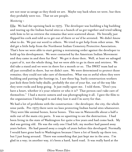are not near as savage as they think we are. Maybe way back when we were, but then they probably were too. That we are people.

#### *Monitoring* ~

Ella: We had the uprising back in 1975. The developer was building a big building and tearing up the Indian burial sites so a bunch of us got together and tried talking with him to let us retrieve the remains that were scattered about. He literally just flipped his cork and told us to get out of there or we'd be arrested. We didn't know what to do. We put out word to others. We tried to get help from other areas. We did get a little help from the Northwest Indian Cemetery Protective Association. That's how we were able to start getting a restraining order against the developer to hold up his development. We were contacted by the American Indian Movement and they came in and then fur flew! We got it done then. Well, at least we salvaged a part of it, not the whole thing, but we were able to go in there and retrieve. We did take a stand and we were in there for a month or so. The SWAT team had us all just corralled in there, but we didn't care. We were determined to protect those remains; they could not take care of themselves. What was so awful when they were building and putting the footings in, I saw these big, burly construction workers just kick these little baby skulls, probably the size of your fist, out of the way like they were rocks and keep going. It just really upset me. I told them, "Don't you have a heart, whether it's your relative or who it is? That person can't take care of themselves." I had a movie camera and was photographing it all. I gave the film to the organization I belonged to and they lost it and I'm sorry for that.

We had a lot of problems with the construction – the developer, the city, the whole nine yards. Pre-1975 there were no laws protecting Indian burial sites whatsoever. They were like animal bones, horse bones. This was in Watsonville about a half a mile out of the main city parts. It was so upsetting to see the destruction. I had been living in the state of Washington for quite a few years and had come back. My dad was getting old. He was the only one I had left; my mother had passed away years before. He had passed away a couple of years before this developed. Normally I would have gone back to Washington because I have a lot of family up there too, but I just hung around. There was something that just kept me in the area. I'm glad in a way; in another way, it's been a hard, hard road. It was really hard at the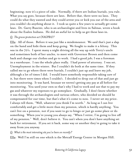beginning; now it's a piece of cake. Normally, if there are Indian burials, you rule. What you say goes, because there are laws. Before that, there were no laws. They could do what they wanted and they could arrest you or kick you out of the area and you couldn't do anything about it. I took us quite a few years to actually get some laws. Dr. Garry Buscini, who is an archaeologist and lives in Salinas, wrote a book about the Esalen Indians. He did an awful lot to help us get these laws in.

#### *Q: The graves protection act (NAGPRA)?*

Ella: All of those. Before it was just like a misdemeanor. We said that's just a slap on the hand and hide them and keep going. We fought to make it a felony. This was in the 70's. I spent many a night driving all the way up with Terry's uncle and sometimes both of her uncles, to meet with Governor Brown and then come back and change our clothes and go to work. I had a good job; I was a foreman in a warehouse. I ran the whole place really. I had power of attorney. I was set. Unemployment in the winter. But I couldn't do both at the same time. If they called me to go where there were burials, I couldn't just up and leave my job, although a lot of times I did. I would leave somebody responsible taking care of it, but there were times when I couldn't. I decided to drop out of that and just go into monitoring. It was hard, because we weren't getting any pay at all before for monitoring. You used your own so that's why I had to work and use that to pay my gas and whatever my expenses to go someplace. Gradually, I don't know whether it was through the archaeologists and various others, who decided we should be compensated for our time, but that's what it's come to now. I never set my price. I always tell them, "Well, whatever you think I'm worth." As long as I can live comfortably and get a little more than my pension, which is hardly anything. You can't live on a pension, not if you want to go to bingo or just go some place or do something. When you're young you always say, "When I retire, I'm going to live off of my pension." Well, don't believe it. You can't when you don't have anything set back for retirement. If you set it back, some way or another they're going to take it away from you anyway.

#### *Q: What is the most interesting site you've been on recently?*

Ella: Well I'm still on one which is the Metcalf Energy Center in Morgan Hill.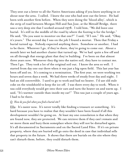They sent out a letter to all the Native Americans asking if you knew anything in or about near the area. I called. I knew the one who had sent out the letter. He had been with another firm before. When they were doing the 'blood alley', which is the strip of road between Morgan Hill and San Jose, at the Metcalf Bridge, there was a very deep site that I worked around 1978. I told him, "We did leave one burial. It's still in the middle of the road by where the footing is for the bridge." He said, "Do you want to monitor on that one?" I said, "If I can." He said, "Okay, it's yours." The second day I was on the job I found a mortar. Then that Friday a burial turned up. Nobody expected anything there. Somehow or another, I had to be there. Wherever I go, if they're there, they're going to come out. About a month later we had another cluster that turned up. We've had quite a few off and on all through that energy plant that they're building. I've been on that almost three years now. Whenever they dig into the native soil, they have to contact me. Then I go. They took a lot of the original soil out. I know the area so well. I started from day one out there when it was just a big open field. This last year has been off and on. It's coming to a termination. The first year, we were working ten hours and seven days a week. We had three weeks of steady frost day and night. I had an old convertible. I used to go to work and had no heater. I'd use old stale coke on the windshield to keep the ice off. I was there every day to work. When it was cold everybody would get into their cars and turn the heater on and warm up. I said, "It's warmer outside than inside my car!" This was just a couple of years ago. I had to be there.

#### *Q: How do you feel when you find a burial site?*

Ella: It's easier now. It's never totally like finding a treasure or something. It's hard because you have to realize that they wouldn't have been found if all this development wouldn't be going on. At least my one consolation is that when they are found now, they are protected. We can retrieve them if they can't remain and we move them and bury them someplace where they will not be disturbed again. It's all documented in Sacramento and on the Sacred Land Files. If it's on private property, where they are buried will go onto the deed in case that individual sells that property in the future. It shows that there are burials on the site where they can't disturb them; before, they could disturb them.

#### 52 *Ohlone Women Elders*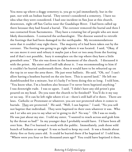You mess up where a doggy cemetery is, you go to jail immediately, but in the past, not with an Indian burial. They weren't considered a cemetery. I have no idea what they were considered. I had one incident in San Jose at this church, downtown, right off San Carlos near the Guadalupe River. I had been called up there because they had found a burial. The coroner removed the burial and then I was contacted from Sacramento. They have a rotating list of people who are most likely descendants. I contacted the archaeologist. The diocese wanted to retrofit the footings that had been damaged in the earthquake. My recommendations were that it couldn't stay right there. The majority of it had been taken out by the coroner. The footing was going to go right where it was located. I said, "Okay, if we can move it over and rebury it maybe just a foot or two away from the footing and if that's not possible, bury it someplace on the top where they have a little greenbelt area." The site was down in the basement of the church. I discussed it with the priest. My sister and I still talk about it. I was recommending to him if it couldn't be buried underneath there, then it would have to be reburied up on the top in or near the area there. He just went ballistic. He said, "Oh, no! I can't allow having a heathen buried on the site here. This is sacred land." He left me dumbfounded for a minute, but it's lucky I've been doing this so long. I told him, "You know what, I'm a heathen also because I've never been baptized anything." I was downright rude. I was so upset. I said, "I didn't have any old priest's piss poured on my head. Do you want the church to be finished? You'll do it my way or no way. If it can be left right where it's at – there's still half of it there. There are laws. Catholic or Protestant or whatever, you are not protected when it comes to burials. They are protected." He said, "Well, I can baptize." I said, "No you will not baptize that individual. They were baptized in their own whatever it was. Who am I or who are you to say what we're going to do? No way." Oh I was so ready. He was just about my size. I told my sister, "I wanted to reach across and grab him by the throat so bad!" In my younger days I probably would have. I'd have been all over him. But I've learned to work with the public. Immediately, yeah those wild bunch of Indians or savages! It was so hard to keep my cool. It was a female about thirty-five or forty years old. It could be buried there if he baptized it! I told him, "Where were you four or five thousand years ago? You could have baptized it then.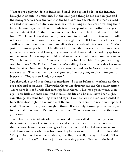What are you playing, Father Junipero Serra? He baptized a lot of the Indians, brought them into the missions, but the only good thing he did for you guys and the Europeans was pave the way with the bodies of my ancestors. He made a road and laid them out; he didn't care dead or alive, as long as they were breathing their last so he could sprinkle them with whatever they sprinkle them with." I was just so upset about that – "Oh, no, we can't allow a heathen to be buried here!" I told him, "You let me know if you want your church to be built, the footing to be built, otherwise it will not move from where it's at right there. If I have to ask for security, I will get security out here. I want to talk with somebody who is above you. You're just the housekeeper here." I finally got it through their heads that that burial was going to be reburied and I was going to watch and there would be nothing sprinkled on the bones. On the top he could do whatever he wanted, but not on the remains. We did it like that. He didn't know what to do when I told him, "So you're calling me a heathen?" "No!" I said, "Well, you're calling the remains there that has never been baptized 'heathen'. It probably has been baptized way before your ancestors ever existed. They had their own religion and I'm not going to okay it for you to baptize it. This is their land, not yours."

I go through a lot of those kinds of incidents. I was in Belmont, working up there for parks and recreation. They redid the police department and the senior center. There were lots of burials that came up from there. This was a good twenty years ago. This little old man had lived there all his life and he must have been eightysomething. He came tootling over and says, "I wonder why the Indians decided to bury their dead right in the middle of Belmont." I'm there with my mouth open. I couldn't answer him quick enough to think. It was really stunning. I had to explain to him that there was no Belmont at that time. We're talking four or five thousand years ago.

There have been incidents where I've worked. I have called the developers and the construction workers to come over and see when they uncover a burial and they pedestal it and the archaeologists form it all out. A lot of them were amazed and these were pros who have been working for years on construction. They said, "My god, look at that -- the backbone, the ribs, the skull, the legs!" I said, "What did you think it was?" They're just used to seeing pieces of bones on the bank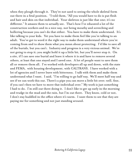when they plough through it. They're not used to seeing the whole skeletal form out there in a fetal position. "I told them, "All you would have to do is put flesh and hair and skin on that individual. Your skeleton is just like that one; it's no different." It amazes them to actually see. That's how I've educated a lot of the construction workers and in a nice way, not being mouthy and screeching and hollering because you can't do that either. You have to make them understand. It's like talking to your kids. Yet you have to make them feel like you're talking to an adult. You've got to word it the right way to make them understand where you're coming from and to show them what you mean about protecting. I'd like to save all of the burials, but you can't. Industry and progress is a very vicious animal. We're not going to stop it; you might hold it up a little bit, but you'll never stop it. On a site, if I can save one burial and leave it where it is and have to remove several others, at least that one stayed and I saved one. A lot of people want to save them all or remove them all. I've worked with developers all up and down, with the state and FEMA, with housing development, with CALTRANS. I have worked with a lot of agencies and I never leave with bitterness. I talk with them and make them understand what I want. I said, "I'm willing to go half way. We'll meet half way and see if we can work this out. There's a pipe you can move a little bit over; well, fine, if you can't then we have to move that individual over." My work is just something I had to do. I'm still out there doing it. I don't like to get up early in the morning and trudge in the mud and the rain, but I'm out there. They know, cold or not, I don't stay huddled in the office where it's warm. I want them to see that they are paying me for something and not just standing around.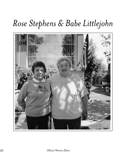# *Rose Stephens & Babe Littlejohn*

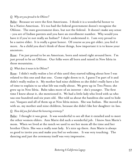### *Q: Why are you proud to be Ohlone?*

Babe: Because we were the first Americans. I think it is a wonderful honor to be a Native American. It's too bad the federal government doesn't recognize the Ohlone. The state government does, but not the federal. It doesn't make any sense – you are of Indian parents and you have an enrollment number. Why would you have it if you're not really an Indian? I don't understand it. I am very proud to be a native elder. It is really a great honor. Of course as you get older, you feel it more. As a child you don't think of those things, how important it is to know your ancestors.

Rose: I'm just proud to be an American, born and raised right around here. I'm just proud to be an Ohlone. Our folks were all born and raised in New Idria in those mountains.

#### *Q: What does it mean to be Ohlone?*

Rose: I didn't really realize a lot of this until they started talking about how I was related to this one and that one. Come right down to it, I guess I'm part of it and didn't really realize it. My mother had nine children so she didn't really have a lot of time to explain to us what life was really about. We grew up in Tres Pinos; she grew up in New Idria. Babe takes more of an interest – she's younger. The first time I knew about it, she mentioned it. We had a little lady who lived with us who was one hundred and six years old. She told us about the banditos she used to hide out, Vasquez and all of them up at New Idria mines. She was Indian. She moved in with us, my mother and nine children, because she didn't like her daughter-in-law.

#### *Q: How did you feel about the honoring ceremony?*

Babe: I thought it was great. It was wonderful to see all that it entailed and to meet the other women elders. Ann Marie did such a wonderful job. I knew Ann Marie's mom. When we lived at the ranch we used to see her mom all the time and her brother Chris. She was a really neat lady. It's nice up there. Ann Marie is always so good to invite you and make you feel so welcome. It was very touching. The dancing and just the ceremony itself was very impressive.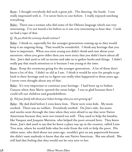Rose: I thought everybody did such a great job. The dancing, the beads. I was really impressed with it. I've never been to one before. I really enjoyed watching everything.

Babe: There was a woman who did some of the Ohlone language which was very interesting. I've not heard a lot before so it was very interesting to hear that. I wish we had a tape of that.

# *Q: Do you think the ceremony should continue?*

Babe: I think so, especially for the younger generation coming up so they would keep it an ongoing thing. That would be wonderful. I think any heritage that you have is important. When you were young you didn't think and care about your ancestors; when you grew older then you were sorry that you didn't learn about all this. Jim's dad used to tell us stories and take us to gather herbs and things. I didn't really pay that much attention to it because I was young at the time.

Rose: Keep the ceremony going for the younger generation. A lot of them don't know a lot of this. I didn't as old as I am. I think it would be nice for people to go back to their heritage and try to figure out really what happened to them years ago. I never even thought about any of that.

Babe: It's very important to continue your heritage. I had been up to Indian Canyon when Ann Marie opened the sweat lodge. I was so glad because then I could tell our children and grandchildren.

# *Q: Did your family talk about your Indian heritage when you were growing up?*

Babe: My dad died before I even knew him. There were nine kids. My mom worked. There was no welfare. Everybody worked. On Jim's side, his aunts and uncles went through the time when they were afraid to say that were Native Americans because they were not treated too well. They used to help the bandits, like Vasquez and Joaquin Marietta, who helped the poor around here. They knew them. Jim's dad used to say that he knew a place way up in the country, called Lone Tree area, where he would hide what he stole from the rich to help the poor. His oldest aunt, who died about ten years ago, wouldn't give us any paperwork because she didn't want anybody to know that she was Native American. She was afraid. She still had that feeling that they would not be very nice to her.

#### 58 *Ohlone Women Elders*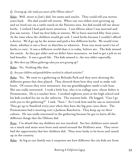# *Q: Growing up, who made you aware of the Ohlone culture?*

Babe: Well, more so Jim's dad, his aunts and uncles. They could tell you stories years back. His dad would tell stories. When our two oldest were growing up and we lived out on a cattle ranch in the Paicines area, his dad would tell me about herbs. I wished I had paid more attention. I was fifteen when I was married and Jim was twenty. I had my first baby at sixteen. We've been married fifty-four years. At the time when the children would get sick, I used herbs because I couldn't afford a doctor. We'd go up by the mines and pick a few different herbs. We would treat them, whether it was a fever or diarrhea or whatever. Even our mom used a lot of herbs to cure. It was a different world than it is today, believe me. The kids missed the ranch. As they got older and we didn't have insurance, we had to get a job so we had benefits. It was a good life. The kids missed it, the two older especially.

*Q: Were there any Ohlone gatherings when you were growing up?*

Babe: No. Nothing like that.

# *Q: Are your children and grandchildren involved in cultural activities?*

Babe: Yes. We went to a gathering in Boloada Park and they were showing the different games that they played. They showed them how they used to make tule boats. Of course they were miniature, but my granddaughter made a tule boat. She was really interested. I took a little boy, who is in college now, whose father is Potawatomis. He is a teacher here. I worked eighteen years at the high school and his kids worked for me in the cafeteria. The sweetest kids. He begged, "Can I go with you to the gathering?" I said, "Sure." So I took him and he was so interested. They go up to Stanford every year when they have the big pow-wow there. The Potawatomis had a meeting over a Jackson Rancheria. They keep up on their culture. He was really interested in the gathering because he got to learn all the different things that the Ohlone did.

Rose: I'm afraid that my children are not involved. See her children were raised on a ranch and mine were born and raised around the Hollister area. They never had the opportunity that her children did. They were lucky to be born and raised up in the country.

Babe: As big as our family was it surprises me how different the city kids are from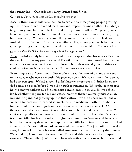the country kids. Our kids have always hunted and fished.

### *Q: What would you like to teach the Ohlone children coming up?*

Rose: I think you should take the time to explain to these young people growing up, love one another now, and teach love and respect for one another. I've always taught my grandchildren to be kind and loving to one another. We grew up in a large family and we had to learn to take care of one another. I never had anything, but I was happy. When you got something, you appreciated what you had; you worked for it. You weren't handed everything. It's just my personal belief that you grow up loving something, and you take care of it, you cherish it. You teach love.

#### *Q: Do you think the Ohlone have something to teach the larger society?*

Babe: Definitely. My husband, Jim and I have always said that because we lived on the ranch for so many years, we could live off of the land. We hunted because that was what we ate, whether it was quail, dove, rabbit, deer – wild game. I think we could survive much better than city folk, because we are used to that.

Everything is so different now. Our mother raised the nine of us, and she went to the store maybe twice a month. We grew our own. We have chickens here so we had our own eggs. We had a cow. I didn't know we were poor. I didn't know my dad because he died before I was old enough to remember. We could teach people how to survive without all of the modern conveniences, how you do live off the land, whether it is your food, your water. Many of them have really missed a lot, not knowing and not growing up with that culture. We didn't have much, but yet we had a lot because we learned so much, even in medicine, with the herbs that his dad would teach us to pick and use for the kids when they were sick. One of them was called a fresno root. You would shave it, boil it and use it for fever. My aunt made poultices from myrtle if you were cut or bruised. Then there's 'squaw tea' – conetilla, for bladder infection. Jim has found it in Arizona and Nevada and here. Even now my daughter goes up to get conetilla for urinary infection. I've had friends from Sonora call and ask me to send them some. You just boil it and make a tea, hot or cold. There is a rose called rosacasto that the folks had by their house. We would dry it and use it for fever too. Mint and elderberry also for an upset stomach. Chamomile. Jim's dad said he made coffee out of acorns, but I never did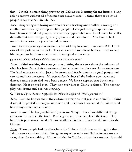that. I think the main thing growing up Ohlone was learning the medicines, being able to survive without all of the modern conveniences. I think there are a lot of people today that couldn't do that.

Rose: Respecting and loving one another and trusting one another, showing one another kindness. I just respect older people. I was just brought up that way. I loved being around old people, because they appreciated me. I took them for walks, did different little things. I just enjoy them and I still do it. You have to feel useful. Otherwise you just sit and deteriorate.

I used to work years ago on an ambulance with my husband. I was an EMT. I took care of the patients in the back. They sent me out to remove bodies. I had to help him to get our business established. It was good experience.

*Q: Are there duties and responsibilities when you are a woman elder?*

Babe: I think teaching the younger ones, letting them know about the culture and what has been from their ancestors and to be proud that they are Native American. The land means so much. Just to be proud and teach them to be good people and care about their ancestors. My sister's family does all the Indian pow-wows and dances because their dad was a bear dancer. We have a nephew that does hoop dancing. He is so good at it. They even took him to China to dance. The nephew plays the drums and does the singing.

*Q: What would you like to see happen for the Ohlone in the future? What is your vision?*

Babe: Let it be known about the culture to everyone, not just to our family. I think it would be great if it were just out there and everybody knew about the culture and how things were then and now.

Rose: It would be like Jacob's family who are Navajo. They have different things going on for them all the time. People go to see those people all the time. They have their pow-wows. We don't have anything like that. They could have it for the Ohlone.

Babe: Those people had treaties where the Ohlone didn't have anything like that. I don't know why they didn't. You go to any other state and Native Americans are recognized for everything. It's too bad that in California that they are not. It would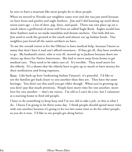be nice to have a museum like most people do to show people.

When we moved to Nevada our neighbor came over and she was just awed because we have bows and pestles and eagle feathers. Jim and I did hunting up until about seven years ago – a lot of deer, pig, dove, and quail. There was one place up on a ranch where a girlfriend of mine still lives we called Eagle Rock. Eagles would lose their feathers and so we made mandelas and dream catchers. Our kids did too. Jim used to work the ground at the ranch and almost cut up Indian bowls. Our neighbor just loved all the native artifacts we have.

To me the overall vision is for the Ohlone to have medical help, because I know so many that don't have it and can't afford insurance. If they get ill, they have nowhere to go. My husband's sister, who is very ill, moved up to Jackson because there are clinics up there for Native Americans. She had to move away from home to get medical care. They need to be taken care of. It's terrible. They need more for the elderly. It's a shame that the elderly have to give up so much to have money for their medication and living expenses.

Rose: Like back up here (indicating Indian Canyon), it's peaceful. I'd like to see the families get back closer to one another than they are. They have the same heritage. You don't see this until you get older though. When you're growing up you don't pay that much attention. People have more time for one another, more love for one another -- that's my vision. I'm old so I can't do a lot, but I volunteer at a nursing home to feed old people.

I have to do something to keep busy and I'm too old to take a job, so this is what I do. I know I'm going to be there some day. I think people should spend more time with one another because it's going to be too late some time to do for other people, so you do it now. I'd like to see people get along better.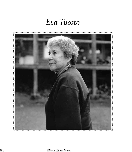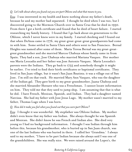#### *Q: Let's talk about when you found out you are part Ohlone and what that means to you.*

Eva: I was interested in my health and knew nothing about my father's death, because he and my mother had separated. I thought he died when I was two, but I discovered going to the Mormon Church over in Santa Cruz that he died in 1930. From there I got a birth certificate and found that he died of heart failure. I started researching my family history. I found that I go back about six generations to the Ohlone, which I never knew were in my family. I started checking and I found out that when DeAnza came in 1776, my great-great-great-great grandparents had come in with him. Some settled in Santa Clara and others went to San Francisco. Bernal Heights was named after some of them. Maria Teresa Bernal was my great-greatgreat grandmother and she married Marcos Chaboya whose family came in from Spain. They had a son, Jose Chaboya who married Mariana Vasquez. Her mother was Maria Leocadia and her father was Jose Antonio Vasquez. Maria Leocadia's parents were the Indians. They go back to 1755 and somebody thought it might be earlier. I've tried to find their birth certificates or baptismal certificates. They lived in San Juan village, but it wasn't San Juan Bautista; it was a village out of San Jose. I'm still on that track. He married Mary Ann Vasquez, who was the daughter of the Indian gal. They gave birth to my great-grandmother, Juana Chaboya and she married Alexander Shenave who was a Frenchman. I cannot locate information on him. They told me that they used to jump ship. I am assuming that that is what he did. I have French, Mexican, Spanish, and Indian. They had a daughter named Narcissa. She had my father with Jose Jesus Lugo. My mother wasn't married to my father, Thomas Lugo when I was born.

#### *Q: How did it make you feel when you found out that you were part Ohlone?*

Eva: I thought it was wonderful. My stepfather was Ohlone Indian. My mother didn't even know that my father was Indian. She always thought he was Spanish and Mexican. She didn't know he was French and Indian also. She died very young so I had no background information. I thought I was Indian through him before this, because his grandmother, who is buried up in San Juan church, was one of the last Indians who was buried in there. I called her 'Grandma.' I always said to my mother, "I have to be part Indian because she always said I was one of the grandchildren. She was really nice. We were raised around the Lopez's, the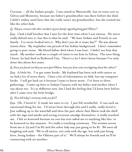Coronas -- all the Indian people. I was raised in Watsonville, but we went over to Gilroy and Monterey, because my father's grandmother was there before she died. I didn't realize until later that she really wasn't my grandmother, but she treated me like the other kids.

# *Q: Did you connect with other members of your family regarding being part Ohlone?*

Eva: I had a half brother that I met for the first time when I was sixteen. He never really delved into it, but this is what he said: "We have Indian and French in our family. I've never looked into it. Why don't you do it some day?" He was almost ninety then. My stepfather was proud of his Indian background. I don't remember going to pow-wows. My blood father died when I was four. I didn't see him that much. My mother took me a couple of times to see him in Gilroy. The next thing I knew, he had died in Redwood City. There's a lot I don't know because I've only done this about five years.

#### *Q: Since you found out that you were part Ohlone, have you done some investigating about the culture?*

Eva: A little bit. I've got some books. My husband has been sick with cancer so we had a lot of stress there. I have a lot of information on disk, but my computer broke. I will get back on it because I want to know more. I've been to three gatherings. I came up here to Indian Canyon with my father and mother when I was about ten. It's so different now, but I had the feeling that I'd been here before after I came over the little bridge.

#### *Q: How did today's ceremony make you feel?*

Eva: Oh, I loved it! It made me want to cry. I just felt wonderful. It was such an emotional thing for me. I'd never been through this and I really, really loved it. Just walking up to the waterfall and then the part where Ann Marie took the shell with the sage and smoke and seeing everyone smudge themselves, it really touched me. I felt so honored because no one has ever asked me to anything like this, to be honored in this manner. It's really a touching ceremony. The woman across from me is 79 and I'm 80 and the other lady was just going to be 81. We were all laughing and said, "We're all sisters, not only with the age, but with just being here, being Indian – the Ohlone part of it." We'll always be friends and we'll be connecting with on another.

#### 66 *Ohlone Women Elders*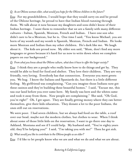# *Q: As an Ohlone woman elder, what would you hope for the Ohlone children in the future?*

Eva: For my grandchildren, I would hope that they would carry on and be proud of the Ohlone heritage, be proud to have that Indian blood running through them. We talk about it now because my daughters and sons didn't know of their Indian heritage. I want them to remember that we are a family with many different cultures – Italian, Spanish, Mexican, French and Indian. I have one son who didn't care to be a Mexican, but he is. One time I said, "You know Michael, you are born of my womb and my womb is Spanish, Mexican, French and Indian. He looks more Mexican and Indian than my other children. He's dark like me. We laugh about it. The kids are proud now. My older son said, "Mom, don't find any more languages or genes because it's hard for us now to write down when we complete papers on our background."

# *Q: From what you know about the Ohlone culture, what does it have to offer the larger society?*

Eva: I think they are a people who really know how to do things and get by. They would be able to fend for food and shelter. They love their children. They are very friendly, very loving. Everybody has that connection. Everyone you meet greets you. We hug. I know the Italians and Spaniards do, but there is a little different feeling. My girlfriend was complaining, "Can you imagine those Indians now got these casinos and they're building these beautiful homes." I said, "Excuse me, this was our land before you ever came here. My family was here and the whites came and took it away from them. Now people are complaining." She said, "Oh God, you're right!" Oh, I get upset. They are finally getting money where they can better themselves, give their kids education. They donate a lot to the poor Indians, the ones still out on reservations.

We were poor. I had seven children, but we always had food on the table, a roof over our head, maybe not the modern clothes, but clothes to wear. When I think about some of those little kids on the reservation, I want to go there one day to Ashland, Montana and see if I could help. My husband said, "You're eighty years old; they'll be helping you!" I said, "I'm taking you with me!" Then he got sick.

*Q: What would you like to contribute to the Ohlone people as an elder?*

Eva: I'd like to let people know who we are and what we do and what we are about.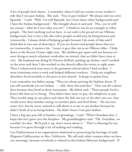A lot of people don't know. I remember when I told my cousin on my mother's side that I was part Indian. She said, "You're part Indian? We always said you were Spanish." I said, "Well, I'm still Spanish, but I have these other backgrounds and I have the Indian background." She thought about it and said, "Hey, you're still my cousin – what do I care what you are!" I think we can be an example to other people. The best teaching tool we have, is not only to be proud of our Ohlone background, but to live a life that other people would envy by being honest and trustworthy. I always think of helping people because I do some of that and I think that is one way of showing it. If you are honest and people know that you are trustworthy, it means a lot. I want to give that out as an Ohlone elder. I help down at the Senior Center right now. My children got upset with me because we were doing so much volunteer work after we retired, that we didn't have time to visit. My husband was doing St.Vincent DePaul, picking up clothes, and I worked in the store and then I also worked in the church office for seven or eight years. Then I volunteered nine years at the grammar school where I had worked. I went sometimes twice a week and helped different teachers. I help my neighbor distribute food monthly to the poor at her church. It keeps us pretty busy.

I can remember my father saying, "They are always putting the Indians down. If you tell somebody you are Indian -- ohh, dirty this and that." That was the culture then because they lived in these mountains. My father said, "These people lived a better life than we're living. They didn't have water to pay, the telephone to pay. They would camp in one place and when the fish ran out or the deer ran out, they would move their families and go to another place and feed them." He was into some of it, but he never wanted to talk about it to me or my mother because he didn't think of us as being Indian. He didn't know I was part Indian.

I have a big case just full of binders of genealogy. I said, "When Grandma dies, I hope this isn't gone into the fireplace. My granddaughter said, "Oh, Grandma, we wouldn't do that. We'll pick it up; don't worry about it." That's a blessing for me because I've gone through a lot of looking and reading.

Los Californianos is an organization dedicated to preserving the heritage of early Hispanic Californians in Alta, California. We call each other cousins when we have our meetings, because everybody is related in this Indian/Mexican background. If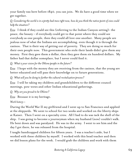your family was here before 1840, you can join. We do have a good time when we get together.

# *Q: Considering the world is in a pretty bad mess right now, how do you think the native point of view could help the situation?*

Eva: I think if they could see this (referring to the Indian Canyon setting)– the peace, the beauty – if everybody could get to that point where they could see everybody as one people, then they could all love one another. Many people are jealous now of what the Indians are accomplishing, even though it is through the casinos. That is their way of getting out of poverty. They are doing so much for their own people now. This government who stole their lands didn't give them any money. First they gave them a dollar, then they gave them six hundred dollars. My father had that dollar someplace, but I never could find it.

*Q: What is your vision for the Ohlone people in the future?*

 $Exa: I$  hope with the money they are receiving from the casinos, that the young are better educated and will pass their knowledge on to future generations.

*Q: What will you be doing to further the cultural revitalization process?*

Eva: I will be taking my children and grandchildren to the different council meetings, pow-wows and other Indian educational gatherings.

*Q: Why are you proud to be Ohlone?*

Eva: Because it is my heritage.

*Work history ~*

During the World War II my girlfriend and I went up to San Francisco and applied at the shipyards. We went to school for two weeks and worked on the liberty ships at Kaiser. Then I went on a specialty crew. All I had to do was tack the shell of the ship. I was going to become a journeyman when my husband (now) couldn't walk. He bent down and was paralyzed. He was in the army. I went to see him and the day I got there, he was released from the hospital.

I taught handicapped children for fifteen years. I was a teacher's aide, but I worked with these children by myself. I worked with this head teacher and then we did lesson plans for the week. I would grab the children and work with them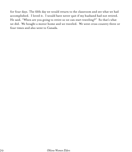for four days. The fifth day we would return to the classroom and see what we had accomplished. I loved it. I would have never quit if my husband had not retired. He said, "When are you going to retire so we can start traveling?" So that's what we did. We bought a motor home and we traveled. We went cross country three or four times and also went to Canada.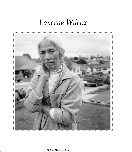# *Laverne Wilcox*

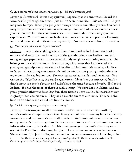# *Q: How did you feel about the honoring ceremony? What did it mean to you?*

Laverne: Awestruck! It was very spiritual, especially at the end when I heard the wind rustling through the trees. Just as I've seen in movies. This was real! It gave me goose bumps. When you get goose bumps, there is something there. You could imagine your ancestors at a similar ceremony. You kind of feel awkward because you had no idea how the ceremony goes. I felt honored. It was a very spiritual experience. We didn't know much about our ancestors. We are just now learning more and more about both sides of my family. No matter what I find, it's exciting.

### *Q: When did you get interested in your heritage?*

Laverne: I was in the eighth grade and my grandmother had these neat books on local vital statistics. We knew one of the grandmothers was Indian. We had to dig and get paper work. I love research. My neighbor was doing research. He belongs to Los Californianos.<sup>1</sup> It was through his books that I discovered my great-great grandparents were at the Presidio in Monterey. My cousin, who lives in Missouri, was doing some research and he said that my great-grandmother on my mom's side was Indian too. She was registered at the National Archives. She was on the Cabrillas role, the 1928 registration. My father was interested but he didn't know too much about it and didn't have the time because of work. He looked Indian. He had the nose, if there is such a thing. We were here in Salinas and my great-grandmother was from Big Sur, then Rancho Toro on the Salinas/Monterey Highway when she married. They had a rancho there at one time. They said she lived in an adobe; she would not live in a house.

### *Q: What direction is your genealogical research taking?*

Laverne: It's taking me in all directions, but I've come to a standstill with my mom's stroke as it requires more time taking care of her. I have my father's line very incomplete and my mother's line half-finished. We'll find out more information on my mother's line through Los Californianos. We haven't really found too much information on my dad's side. On his great-great-grandparent's side, they were over at the Presidio in Monterey in 1771. The only one we know was Indian was Viviana Soto. I'm just finding out about her. When someone went knocking at her 1 Los Californianos is a group of descendents of Spanish Alta Californians who arrived in Alta,

California prior to the Treaty of Guadalupe Hidalgo, February 2, 1848.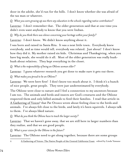door in the adobe, she'd run for the hills. I don't know whether she was afraid of the tax man or whatever.

*Q: When you were growing up was there any education in the schools regarding native contribution?*

Laverne: I don't remember that. The older generation said that at one time you didn't even want anybody to know that you were Indian.

*Q: Why do you think there was silence concerning your heritage within your family?*

Laverne: I don't know. We didn't know anything about it.

I was born and raised in Santa Rita. It was a neat little town. Everybody knew everybody, and as time would tell, everybody was related. Just about! I don't know how they did it. My mother raised six kids. Christmas and Thanksgiving, when you have big meals, she would do it all. Most of the older generation was really hushhush about relatives. They kept everything in the closet.

*Q: What is the responsibility of being an Ohlone woman elder?*

Laverne: I guess whatever research you get done to make sure it gets out there.

*Q: What makes you proud to be an Ohlone?*

Laverne: We were here first! I don't know too much about it. I think it's a bunch of nice people, great people. They were just underestimated by everybody.

The Ohlone were close to nature and I feel a connection to my ancestors because I am too. The animals and birds and insects are God's creatures and the Ohlone respected them and only killed animals to feed their families. I read that article in A Gathering of Voices<sup>2</sup> that Pat Orozco wrote about feeling close to the birds and animals. I've always felt close to the birds, and lately it's been squirrels. I always talk to them. I've always liked nature.

*Q: What do you think the Ohlone have to teach the larger society?*

Laverne: That we haven't gone away, that we are still here in larger numbers than they realize, and that we are good people.

*Q: What is your vision for the Ohlone in the future?*

Laverne: The Ohlone need to get along together, because there are some groups

2 A Gathering of Voices: The Native People of the Central California Coast, edited by Linda Yamane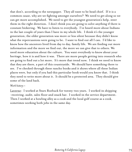that don't, according to the newspaper. They all want to be head chief. If it is a common cause, why are we fighting amongst ourselves? We need to get along so we can get more accomplished. We need to get the youngest generation's help, steer them in the right direction. I don't think you are going to solve anything if there is constant bickering. We have to listen to everybody. I've heard more about Indians in the last couple of years than I have in my whole life. I think it's the younger generation; the older generation was more or less silent because they didn't know what the repercussions were going to be. I want to find out all I can. I'd like to know how the ancestors lived from day to day, family life. We are finding out more information and the more we find out, the more we can give that to others. We need more education about the culture. You want everybody to know about your heritage, how it is and how it was. There are more people getting into research who are going to find out a lot more. It's more that trend now. I think we need to know that they are there, a part of this countryside. We should have something there to see. I've checked through these rancho books and it shows where all these Indian places were, but only if you had this particular book would you know that. I think they need to write more about it. It should be a protected area. They should give some of the land back.

### *Work history ~*

Laverne: I worked at Sears Roebuck for twenty-two years. I worked in shipping -receiving, audit, sales floor and snack bar. I worked in the service department. Then I worked at a bowling alley as a cook and the local golf course as a cook, sometimes working both jobs in the same day.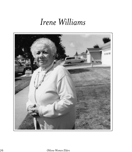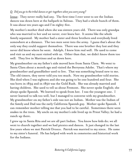# *Q: Did you go to the tribal dances or get-togethers when you were young?*

Irene: They never really had any. The first time I ever went to see the Indian dances was down here at the ballpark in Salinas. They had a whole bunch of them. It was about ten years ago and I'm eighty-five.

My mother's mother died when she was sixteen years old. There was only grandpa who was married to her and we never, ever knew her. It seems like the whole family separated. My mother had a sister and three brothers and everybody lived somewhere at a distance. The two men went into the army. I guess that's about the only way they could support themselves. There was one brother they lost and they never did know where he went. Adolph, I knew him real well. He used to come and visit us and my aunt visited with us. Other than that, we didn't know them too well. They live in Martinez and us down here.

My grandmother on my father's side moved here from Santa Clara. We went to Santa Clara about a month ago and visited the Berryessa Adobe. That's where my grandmother and grandfather used to live. That was something brand new to me. The old timers, they never told you too much. Now my grandmother told stories. She died when I was eighteen and she was going to be one hundred and four. She was born in 1834 and in 1850 was the Gold Rush. She was already married and having children. She used to tell us about Fremont. She never spoke English; she always spoke Spanish. We learned to speak from her. I was the youngest one. I never learned to talk too well, but I managed to converse with my grandmother. My grandmother on my father's side was not an Indian. Mother was the Indian of the family and Dad was the early California Spanish guy. Mother spoke Spanish. I can remember mother telling me that you had to be careful. Sometimes there were snakes in the trees. My uncle on my mother's side lived up in Priest Valley; he had a ranch up there.

I grew up in Santa Rita and we are all part Indian. You know how kids do; we all went to church together and we had picnics and dances. It just changed in the last few years when we met Patrick Orozco. Patrick was married to my niece. He came to my sister's funeral. He has helped with work in cemeteries and historical work for the Indians.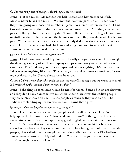# *Q: Did your family ever talk with you about being Native American?*

Irene: Not too much. My mother was half-Indian and her mother was full. Mother never talked too much. We knew that we were part Indian. Then when they were giving out those roll numbers I guess I was ten or eleven years old. I had two sisters and a brother. Mother always cooked nice for us. She always made nice pies and things. In those days they didn't run to the grocery store to get lemon juice or stuff like that. They squeezed the lemons and that's they way she made her lemon pies. We had an apple tree and a cherry tree. My dad grew strawberries, tomatoes, corn. Of course we always had chickens and a pig. We used to get a lot to eat. Those old timers never said too much to us.

# *Q: How did you feel about the honoring ceremony?*

Irene: I had never seen anything like that. I really enjoyed it very much. I thought the dancing was very nice. The company was great and everybody treated us very, very nice. The food was good. I was impressed with everything. It's the first time I'd ever seen anything like that. The ladies go out and eat once a month and I wear my necklace. Addie Castro always wore hers too.

*Q: As an Ohlone woman elder, what would you want the young Ohlone people who are coming up to learn? Is there something that you would want to pass on to them?*

Irene: Schooling of some kind would be nice for them. Some of them are destitute and they don't have homes to live in. At first they didn't treat the Indian people very nice. Now they don't belittle the people as much as they used to do. The Indians are standing up for themselves too. I think that's great.

*Q: Did you experience prejudice when you were growing up?*

Irene: I can remember as a kid that people used to call us names. This French lady up on the hill would say, "Those goddamn Injuns!" I thought, well what is she talking about? She never spoke very good English and she said that I was an "Injun". She was that way. Afterwards I was the one who taught her boy how to speak English because they came from France. Then in high school, the Prunedale people, they called them prune pickers and they called us the Santa Rita Indians. I never took offense at it. My dad told us, "You're just as good as the next one. Don't let anybody ever fool you."

#### 78 *Ohlone Women Elders*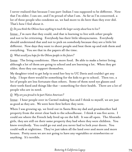I never realized that because I was part-Indian I was supposed to be different. Now that I'm older, I can see, and I'm proud of what I am. As far as I'm concerned, a lot of these people who condemn us, we had more to do here than they ever did. That's how I feel about it.

# *Q: Do you think the Ohlone have anything to teach the larger society about how to live?*

Irene: I'm sure that they could, and that is learning to live with other people and not to be criticizing. Everybody has their little idiosyncrasies. Everybody should understand that and not to pick on somebody because they are a little bit different. Now days they want to shoot people and beat them up and stab them and everything. You see that in the papers all the time.

# *Q: What would you hope for the Ohlone people in the future?*

Irene: The living conditions. Have more food. Be able to make a better living, although a lot of them are going to school and are learning a lot. When they get older, then they can support themselves.

My daughter tried to get help to send her boy to UC Davis and couldn't get any help. I hope there would be something for the kids to go to school. Then too, a lot of people are less fortunate than others. Some of them need eye glasses and their teeth fixed and things like that – something for their health. There are a lot of people who are in need.

# *Q: Why are you proud to be part Native American?*

Irene: I hear people over in Carmel making fun and I think to myself, we are just as good as they are. We were here first before they were.

When I was growing up, we lived out in Santa Rita my dad and grandmother had property from the street clear back to the schoolhouse. I think it was five acres. I could see where the French lady lived up on the hill. It was all open. The Alvarado girls, they are still on their same property they had when they were children. You knew everybody. You could go out and you never had to lock your doors. You could walk at nighttime. They've just taken all the land over and more and more houses. Pretty soon we are not going to have any vegetables or strawberries or anything. It's terrible.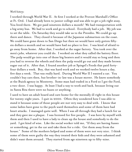#### *Work history:*

I worked through World War II. At first I worked at the Provost Marshall's Office at Ft. Ord. I had already been to junior college and was able to get a job right away. You lived there. We got paid nineteen dollars a month! We had transportation with a big army bus. We had to work and go to school. Everybody had a job. My job was to set the table. On Saturday they would take us to the Presidio. We could go up there and dance. They closed it because of the Japanese submarines on the coast. We could have gone down to San Diego but then we would have only gotten fiftysix dollars a month and we would have had no place to live. I was kind of afraid to go away from home. After that, I worked at the sugar factory. You took over the men's jobs, whatever you could do. I worked on what they called the battery floor. The pulp would go into one of those big heaters and it would stay so long and then you had to reverse the wheels and then the pulp would go out and they made brown sugar out of it. After that, I found another job at Spiegel's Foods that paid fortyfour dollars a week. Boy, that was hard work and we worked twelve hours a day, five days a week. That was really hard. During World War II I wanted a car. You couldn't buy cars then, but brother-in-law was a house mover. He knew somebody at the Buick agency in Monterey. Some man had traded in a Ford so I got the Ford, a two-door. I was happy. At least I had a way to work and back, because living out in Santa Rita there were no buses or anything.

I used to have an adult board and care home for the mentally ill right in this house for twenty-eight years. I quit in 2000. Often they wondered how I was able to stand it because some of those people are not very easy to deal with. I know that some ladies have gone to the psych ward themselves and some of them have had heart attacks. I managed quite well. When I was all through they had a lunch for us and they gave me a plaque. I was licensed for five people. I was here by myself with them and then I used to have a lady to clean up the house and somebody to do the yard. I got kind of wise. Like the social worker told me, "If they are having fusses or something, get in the car and take them for a ride. Get them away from the house." Some of the mothers helped and some of them were not very nice. I think some of them were guilty the way they treated their kids and they were ashamed and didn't want them around. They started from age nineteen up to fifty-nine.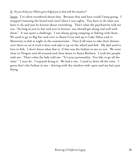### *Q: Do you think your Ohlone genes helped you to deal with this situation?*

Irene: I've often wondered about that. Because they said how could I keep going. I stopped [running the board and care] when I was eighty. You have to do what you have to do and just be honest about everything. That's what the psychiatrist told me too, "As long as you're fair and you're honest, you should get along real well with them." It was quite a challenge. I was always going camping or fishing with them. We used to go to Big Sur and over to Santa Cruz and up to Lake Tahoe and to Monterey to fish at night in the summertime. They'd all want to take their dinner over there so we'd cook it here and take it up on the wharf and fish. My dad used to love to fish. I don't know what that is, if that was the Indian in me or not. We went clear to Oregon and all around and clear down to Santa Barbara. I took the people with me. That's what the lady told me, "It's your personality. You like to go all the time." I sure do. I enjoyed doing it. We had a van. I used to drive all the time. I guess that's the Indian in me – driving with the window wide open and my hair just flying.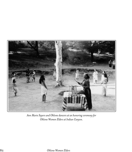

*Ann Marie Sayers and Ohlone dancers at an honoring ceremony for Ohlone Women Elders at Indian Canyon.*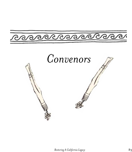

*Restoring A California Legacy* 83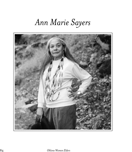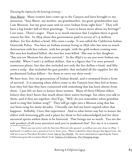#### *Discussing the impetus for the honoring ceremony ~*

Ann Marie: Many women have come up to the Canyon and have brought to my attention, "Ann Marie, my mother, my grandmother, my great-grandmother says I am Mexican, but my great aunt said we were Indian from right here." They will have a big binder full of their genealogy. "I want to know more about my heritage!" I see tears. There's anger. There is so much emotion that I explain there is good reason for this. In 1854 alone this government paid in access of 1.4 million dollars, for five dollars a head, fifty cents a scalp. It was called the California Indian Genocide Policy. You have an Indian woman living in 1852 who has seen so much destruction with her culture, with her people, with the gold seekers coming west. She sees her husband killed; she sees her sons killed. She says to her daughter, "Say you are Mexican for sheer survival." In the 1850's to say you were Indian was suicidal. When I said 1.4 million dollars, that is a figure that I've seen printed numerous places, but that also included not only the five dollars a head, and fifty cents a scalp, that included the gun powder, that included all the supplies for the professional Indian killers – for them to carry out their work.<sup>1</sup>

We have four, five, six generations of Indian denial, and it stemmed from a form of survival. It is amazing when elders come to the Canyon how they feel at home, how they feel that they have connected with something that has been absent from them. I just felt we have to honor these women. Many of these Ohlone elders believe they don't know that much about their native heritage, but when you talk to them, and if they are together, they'll go, "Well, do you remember when grandma used to sing that Indian song?" They will go right into a Mutson song that has not been sung for many decades. I literally can feel my heart expand when that happens. Selfishly, I love that experience. And so what better way but to honor the elders with honoring gifts and a place for them to feel acknowledged and for their ancestral spirits within them to be honored. That brings out so much. You are the sole product of all your ancestors and you've awakened that! For me it is a reason

<sup>1</sup> There was one writer with the San Jose Mercury who quoted 1.4 million one year alone in 1854. I had heard 1.2 million over a period of two or three years. When I asked her where she got that figure from, she told me it was in Theodora Kroeber's book, Ishi in Two Worlds. For more information regarding the Native Californian genocide see James Rawls' book, Indians of California: The Changing Image.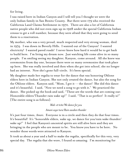#### for living.

I was raised here in Indian Canyon and I will tell you I thought we were the only Indian family in San Benito County. But there were 179 who received the California Land Claims Settlement in 1972. There are also a lot of California native people who did not even sign up in 1928 under the special California Indian census to get a roll number, because they were afraid that they were going to send them to a reservation.

My mother, who was a very proud, much respected and very strong woman, died in 1974. I was down in Beverly Hills. I wanted out of the Canyon! I wanted electricity! I wanted paved roads! I never knew how hard it would be to get back to build here. I'm living my dream now. Just watching life come alive in so many people. I'm smiling seeing my daughter, Kanyon, come around. All she knew was ceremonies from day one, because there were so many ceremonies that took place up here. She was really involved and then when she got into school, she no longer had an interest. Now she's gone full-circle. It's been special.

My daughter made her regalia to wear for the dance that was honoring Ohlone elders here in Indian Canyon. She not only created the dance, but also the song for the Ohlone elders. Kanyon said, "Mom, I got it -- the dance! She did this dance and it's beautiful. I said, "Now we need a song to go with it." We practiced the dance. She picked up the book and said, "These are the words that are coming out: Honorable elders/Thunder rain wake up!" I said, "That is so perfect! It really is!" [The entire song is as follows]:

#### *Mak-et tcite/We dance for you*

### *Amani auye tura/Rain awaken thunder*

It's just four times, *Amani*. Everyone is in a circle and then they do that four times. It's beautiful! It's "honorable elders, wake up, we dance for you/rain wake thunder/ wake up!" I feel that Kanyon's ancestral spirits are still alive here and they are bringing in the people who are meant to be. You know you have to be here. No wonder those words were attracted to Kanyon.

It took us about a year and a half to make the regalia, specifically for this very, very special day. The regalia that she wore, I found so amazing. I'm monitoring for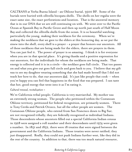CALTRANS at Yerba Buena Island – an Ohlone burial, 3500 BP. Some of the burials were buried with ollivella bicopata shells. The shells on her regalia were the exact same size, the exact perforations and location. That is the ancestral memory that is in our DNA that we are still continuing on with. We went over to the Pacific Ocean at Spanish Bay in Pacific Grove and then up north just south of Half Moon Bay and collected the ollivella shells from the ocean. It is so beautiful watching, particularly the young, making their necklaces for the ceremony. When we're making the necklaces that we gave to the elders at this honoring day, as we put the sinew into the shell, every shell is a prayer – a prayer that honors our ancestors. All of these necklaces that are being made for the elders, there are prayers in them. You can just feel it. The power of prayer is so amazing. I think it is for everyone when you are in that special place. It's giving thanks and a positive expression for our ancestors, for the individuals for whom the necklaces are being made. That energy is collected and it is in a circle – the necklace goes full circle. That too passes on and what you give out goes full circle and goes back to you. I believe that my gift was to see my daughter wearing something that she had made herself that I did not teach her how to do, that our ancestors did. It's just like people that cook -- when you're happy you can feel that happiness in the food that was prepared. I can taste that hot, good energy that went into it as I'm eating it.

#### *Cultural renewal, revitalization* ~

We're California tribal people; California is very matriarchal. My mother was an extremely strong woman. The people who petitioned within the Costanoan Ohlone territory, petitioned for federal recognition, are primarily women. There is Tony Cerda and Patrick Orozco, but all the other people are women. The Costanoan Ohlone people, who extend from San Francisco down to Big Sur, are not recognized tribally; they are federally recognized as individual Indians. Those descendents whose ancestors filled out a special California Indian census in 1928 were assigned a roll number and their descendants until 1974 were given a number. In 1851 and 1852, there were 18 treaties that were signed between the government and the California Indians. Those treaties were never ratified; they just disappeared. Really, they could not push Indians further west, like they did in the rest of the country. In addition to that, there was too much natural resource,

#### *Restoring A California Legacy* 87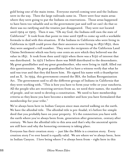gold being one of the main items. Everyone started coming west and the Indians were in the way. Then the large railroads came in. There were four main areas where they were going to put the Indians on reservations. Those areas happened to have been too valuable and so the government just said well we can't do that so there was no ratifying and the treaties just disappeared. They were not located until 1904 or 1905. Then it was, "Oh my God, the Indians still own the state of California!" It took from that point in time until 1928 to come up with a workable formula to deal with this situation. If the Indians in California who were living in California in 1928 could prove that their ancestors were living in 1851/1852, then they were assigned a roll number. They were the recipients of the California Land Claims Settlement which was forty-one cents an acre which they believed was the value in 1851. It took from then until 1950 when there was a \$150 of interest that was distributed. In 1972 I believe there was \$668 distributed to the descendants. My great grandfather and my great grandmother, who were living in 1928, filled out this questionnaire. My great grandfather had to have a witness verify that what he said was true and that they did know him. He signed his name with a thumbprint and an X. In 1934, this government created the IRA, the Indian Reorganization Act. The government said to all the different groups of Indians in California that they were working with, "This is how you have to form your tribe or your rancheria. All the people who are receiving services from us, we need their names, the number of people, and we need to develop a constitution. We need to have membership criteria so they know you have become a member and how you have formulated that membership for your tribe."

We've always been here in Indian Canyon since man started walking on the earth. We have the alloidial title. The alloidial title is pre-feudal; it's before fee-simple deed that you probably have on your property. It's the connection you have with the earth where you've always been from, generation after generation, century after century. We have the alloidial title to this area and that's why the ancestral spirits are still here and why the honoring ceremony is taking place.

Everyone has their creation story -- just like the Bible is a creation story. Every creation story I've ever heard is equally valid. We are where we've always been, here in Indian Canyon. I love being where I've always been from – right here in this

#### 88 *Ohlone Women Elders*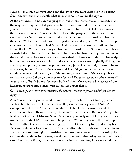canyon. You can have your Big Bang theory or your migration over the Bering Strait theory, but that's exactly what it is: theory. I have my theory too.

At the entrance, it's not on our property, but where the vineyard is located, that's the original village site that goes back for tens of thousands of years. Just before you come into the Canyon there is a cattle guard; to the west that entire area is the village site. When Ken Gimelli purchased the property -- the vineyard, he came across a Native American burial when he had one of his workers plowing the area. We had the sheriff come out, just what you do by law. You have to stop all construction. Then we had Allison Galloway who is a forensic anthropologist from UCSC. We had the county archaeologist record it with Sonoma State. It's a recorded site. The area has a trinomial, but there has been no dig. We re-interred the remains very close to where it was unearthed. There was no destructive analysis, but the boy was twelve years old. In the 40's when they were originally disking the area to plant grapes, where the grapes are now, Jesus Salcido said, "It would be so frustrating because I am on the tractor and I would go ten feet and come across another mortar. I'd have to get off the tractor, move it out of the way, get back on the tractor and then go another five feet and I'd come across another mortar!" According to Frank Salano, between both of them, they removed in access of one hundred mortars and pestles, just in that area right there.

*Q: Tell us how your monitoring work relates to the cultural revitalization process in which you also are engaged?*

Ann Marie: I have participated in monitoring work for the last twenty years. It started shortly after the Loma Prieta earthquake that took place in 1989. An example would be the Moss Landing Marine Lab. Their classrooms and the entire school basically were destroyed due to the earthquake. Because it's a public facility, part of the California State University, primarily out of Long Beach, they use public funds. FEMA came in to help them. When they come all the way up here to Indian Canyon from Washington, D.C., I know they have to do it by law. Because of the new location for the Moss Landing Marine Lab on the ocean in an area that was archaeologically sensitive, the most likely descendants, meaning the Ohlone descendants in the area, developed a memorandum of agreement as to what should transpire if they did come across any human remains, how they would be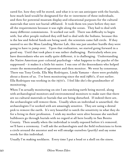cared for, how they will be stored, and what it is we can anticipate with the burials, how much land would be designated for the re-interment of these individuals, and then for potential museum display and educational purposes for the cultural materials that were not burial-affiliated. It took them ten years before they met all the requirements because it was right along the ocean. They had to deal with many different commissions. It worked out well. There was difficulty to begin with, but after people realized they still had to deal with the Indians, because this is the law and federal funds are being used, the scientists came full circle. If they wanted to see the Moss Landing Marine Lab, this was just another hurdle they were going to have to jump over. Upon that realization, we started going forward in a good way. Until that took place it was rather challenging. Particularly when you have descendants who are really quite different, it is challenging. Understanding the Native American post-colonial psychology – what happens to the psyche of the suppressed – it makes it a little bit easier. I was one of the descendants who helped create the memorandum of agreement and then monitor. We went by consensus. There was Tony Cerda, Ella May Rodriquez, Linda Yamane – there were probably about a dozen of us. I've been monitoring since the mid 1980's, if not earlier. Ella Rodriquez was working in the 1970's. I feel like she's the grandmother of monitoring.

When I'm actually monitoring on site I am watching earth being moved, along with archaeological monitors and environmental monitors to make sure that there are no cultural materials or burials that are being disturbed. If indeed there are, the archaeologist will remove them. Usually when an individual is unearthed, the archaeologists I've worked with are amazingly sensitive. They are using a dental pick to remove the earth. It's very beautiful to watch the sensitivity in what they do for a living in their profession. I wish my mother were alive because she watched bulldozers go through burials with no regard at all here locally in San Benito County. Then usually when the individual is totally exposed before it's removed, we'll have a ceremony. I will ask the archaeologists and the field technicians to form a circle around the ancestor and we will smudge ourselves (purify) and say some words for this individual.

Usually I'm making necklaces. Every time I put a bead or a shell on the sinew,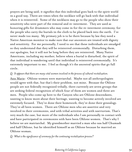prayers are being said; it signifies that this individual goes back to the spirit world in a good way. There are times when the necklace will go back with that individual when it is reinterred. Some of the necklaces may go to the people who show their sensitivity who were part of the removal and re-interment. They are used as honoring gifts for drummers who may come in for the re-interment ceremony, for the people who carry the burials in the cloth to be placed back into the earth. I've never made too many. My primary job is to be there because by law they need a Native American monitor to make sure that our ancestors are treated with dignity and sensitivity. For me personally, I need to see that these individuals are smudged so they understand that they will be reinterred ceremonially. Disturbing them, our apologies, but it will not be long before they are reinterred. Many Native Americans, including my mother, believe when a burial is disturbed, the spirit of that individual is wandering until that individual is reinterred ceremonially. It's extremely important to me. I feel as though it's the ancestral spirits that go full circle.

#### *Q: It appears that there are many vital women involved in the process of cultural revitalization.*

Ann Marie: Ohlone women were matriarchal. Maybe not all anthropologists would agree with that, but that's their problem, not mine. Because the Ohlone people are not federally recognized tribally, there currently are seven groups that are seeking federal recognition of which four of them are women and three are men. People who come up here to the Canyon who are Ohlone descendants, wanting to know more about their heritage, wanting to become actively involved are extremely focused. They've done their homework; they've done their genealogy. They've all been women. There are Ohlone men who are assertive and very involved in their ceremonies, and with tribal activities and with warriorism. That's very much the case, but more of the individuals who I am personally in contact with and have participated in ceremonies with have been Ohlone women. That's why I believe we are matriarchal. My grandmother married a man who was half Chumash and half Ohlone, but he identified himself as an Ohlone because he married an Ohlone woman.

*Q: What is the significance of ceremony for the continuing revitalization process?*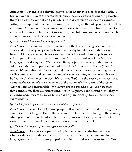Ann Marie: My mother believed that when ceremony stops, so does the earth. I too believe that. There are some ceremonies that are so extraordinarily powerful, there's no way you cannot be a part of. The more ceremonies that you connect with, just compounds that connection. Everyone is just the sole product of all their ancestors. When I am in ceremony and I make a definite connection, for me it is a reason for living. There is nothing more powerful. You are one and inseparable from the ancestors. That's a lot of energy.

#### *Q: Is there a revitalization of the language going on?*

Ann Marie: In a manner of fashion, yes. It's the Mutson Language Foundation. They've done a very, very good job and then many individuals on their own behalf. I know some people who are very much involved. Language is such a critical part of one's culture too. We haven't had any speakers of the Mutson language since the 1930's. We are revitalizing it just with wax cylinders and with John Peabody Harrington's notes and with Mark Olrand's and De La Questa's notes. It's complicated. Every now and then you come across something that you really connect with and you understand why you are doing it. An example would be "rumme" which means water. It's just not H2O; it's the creek or the river that contains the water; it's the movement of the water; it's the sound of the water. They are one and inseparable. When you are at a specific place and you make that connection, then you understand – your language, your ceremonies – they're all connected. We are all related. It's not only biologically, but all the life that surrounds us.

### *Q: What do you see as your role in the cultural revitalization process?*

Ann Marie: I hear a lot of Ohlone people talk about it, but I live it. I'm right here. I'm in the sweat lodges. I'm in the ceremonies. I love it. But living in the country when you're off the grid and you have to cut your wood to keep warm, is not the easiest thing in the world, although it makes you one of the richest.

### *Q: What was the best part of the honoring ceremony for you?*

Ann Marie: When we were participating in the ceremony, the best part was when we danced this dance that Kanyon created. The song that we sang in our language – the words that just popped out at her from these three or four different

#### 92 *Ohlone Women Elders*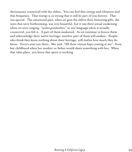dictionaries connected with the elders. You can feel that energy and vibration and that frequency. That energy is so strong that it will be part of you forever. That was special. The emotional part, when we gave the elders their honoring gifts, the tears that were forthcoming, was very beautiful, but it was their actual awakening when we were singing, *"awaken grandmothers,"* in our language when it actually connected, you felt it. A part of them awakened. As we continue to honor them and acknowledge their native heritage, another part of them will awaken. People, who think they know nothing about their heritage, will realize how much they do know. Terry's aunt was there. She said, "All these visions kept coming at me", from her childhood when her mother or father would share something with her. When that takes place, you know that spirit is working.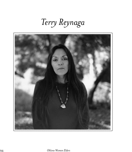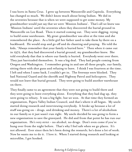I was born in Santa Cruz. I grew up between Watsonville and Capitola. Everything has changed so much. We didn't know much about being Indian. We did in the seventies because that is when we were supposed to get some money. My grandmother would just say that we were 'Mission Indians'. That's all we knew was 'Mission Indians' until the seventies when they discovered the burial ground in Watsonville on Lee Road. Then it started coming out. They were digging, trying to build some warehouses. My great-grandmother was alive at the time and she remembered the place. As a little girl her father used to take them by there on a buckboard. He would stop and go off and do chanting and praying. He told the kids, "Always remember that your family is buried here." Then when it came out in 1972, that they had discovered a burial ground, my grandmother knew. She told everybody that that is where our family is buried. Everybody went over there. They just barricaded themselves. It was a big deal. They had people coming from Oregon and Washington. I remember going in and saw all these people, our family, sitting there with shot guns and refusing to leave. I think I was fourteen at the time. I left and when I came back, I couldn't get in. The freeways were blocked. They had National Guard and the sheriffs and Highway Patrol and helicopters. They would not leave that burial ground. They were going to build another warehouse on there.

They finally came to an agreement that they were not going to build there and they were going to leave everything alone. Everything that they had dug up, they were going to rebury. It was a big fight, but we won. At that time they formed an organization, Pajaro Valley Indian Council, and that's where it all began. My uncle started doing research and interviewing everybody. It broke up because a lot of stuff was going on – drugs, and drinking and money. There's a lot of alcoholism in our family so it just wasn't run right. My uncle decided he was going to form a new organization to save the graveyard. He did and from that point he has run our organization. He's very strict – no alcohol, no drugs. Don't even come if you're hung over from the night before. That's why I feel safe when we go places. It's not allowed. Ever since then he's been doing the research; he's done a lot of work. Now he wants me to do it. I love it. When I started doing research and looking at microfilm, I got hooked.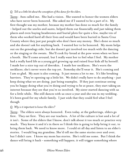#### *Q: Tell us a little bit about the conception of this dance for the elders.*

Terry: Ann called me. She had a vision. She wanted to honor the women elders who have never been honored. She asked me if I wanted to be a part of it. My first thought was my mother, because my mother has done so much for the family – helped out the uncles and aunts, helped them out financially and just taking them places and even buying headstones and burial plots for quite a few, maybe ten of them who worked hard all their lives and would have been buried in Santa Cruz County where they just put people who don't have any money. She's done so much and she doesn't ask for anything back. I wanted her to be honored. My mom helps out on the genealogy side, but she doesn't get involved too much with the dancing or the singing or the sweats. She'll cook fry-bread at the pow-wows when we have a booth. She'll come around, but I really want her to feel what I feel. My mother had a really hard life as a young girl growing up and raised four kids all by herself. I made her a nice top out of deerskin. I made her necklaces. She's worn the necklaces; she's never worn the top yet. Someday she'll wear it. She's coming and I am so glad. My aunt is also coming. It just means a lot to me. It's like breaking barriers. They're opening up a little bit. We didn't really have to do anything – just keep doing what we are doing, just being examples. If they just continue seeing you be happy doing what you're doing and trying to be at peace, they start taking an interest because they see that you're so involved. My sister started dancing with us for a little while. She still dances with us once a year and she was in my wedding. It's been good for my whole family. I just wish that they could feel what I feel though

#### *Q: Why is it important to honor the elders?*

Terry: The elders were always honored. Even today, at the gatherings, elders go first. They eat first. They are our teachers. A lot of the culture is lost and a lot of it isn't. Some of the elders that I know, don't talk about it too much or practice very much. They know it and it's in there so I think this is going to help bring it out, to bring them back. We need to know more. I could sit all day and listen to an elder's stories. I would bug my grandma. She'd tell me the same stories over and over, but I didn't care. I know my mom has stories. She's told me some. But I think the dance will bring it back – something will happen; it will trigger something where

#### 96 *Ohlone Women Elders*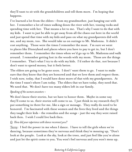they'll want to sit with the grandchildren and tell them more. I'm hoping that happens.

I've learned a lot from the elders – from my grandmother, just hanging out with her. I remember a lot of times walking down the river with her, tossing rocks and spending time with her. That means a lot to me. That's why I want to do that with my kids. I want to just be able to get away from all the chaos out here in the world and just spend that time with my kids and pass on what my grandparents did with me, and my mom, too. She would take us on outings to Mt. Madonna. It didn't cost anything. Those were the times I remember the most. I'm sure we went to places like Disneyland and places where you have to pay to get in, but I don't remember them. I remember the times when we'd go up to Mt. Madonna and walk around. I remember getting lost in the woods with my mom. Those are the things I remember. That's what I try to do with my kids. I'd rather do that, not because I don't want to spend money, but it feels better.

The elders are going to be gone soon. I don't' want them to go. I want to make sure that they know that they are honored and that we love them and respect them. I wish now, today, that I would have done more of that with my grandparents. At the time I wasn't where I am today. The elders that we have today, they need that. We need that. We don't have too many elders left in our family.

#### *Speaking of the women ancestors ~*

We don't know their stories, but we have to honor them. Maybe in some way they'll come to us, their stories will come to us. I just think in my research they'll put something in there for me, like a sign or message. They really do need to be honored. I'm fascinated with these women and the lives they lived and the things they taught their kids – the remedies and the songs – just the way they were raised back then. I wish I could live back then.

#### *Q: How did your experience with dance reconnect you?*

Terry: I feel the power in me when I dance. I have to tell the girls when we're dancing, because sometimes they're nervous and think they're messing up, "Don't look at the people. Look at the sky, look at the trees, and just feel like you're alone and just let the spirit come to you. You won't feel nervous and you won't mess up.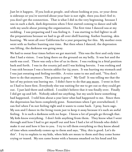Just let it happen. If you look at people, and whose looking at you, or your dress is sideways or you're worried about your hair is not right, then you don't feel it; you don't get the connection. That is what I did in the very beginning, because I was in such a dark, dark depression when I first started coming to dance and talk with my uncle about joining the organization. The first time I danced was at my wedding. I was preparing and I was feeling it. I was starting to feel lighter in all the preparations because we had to go all over shell hunting, feather hunting, skin hunting. We went all over California for a year preparing for this. My mother even went with us feather hunting one time. But then when I danced, the depression was lifting, the darkness was going away.

We had to sweat four times before we got married. This was the first and only time that I had a vision. I was lying there on the ground on my belly. It was hot and the earth was cool. There was only a few of us in there. I was rocking in a fetal position back and forth. I was in the county jail and I was kicking heroin. I was rocking and I was sick because I was a heroin addict for 24 years. It was hurting my stomach and I was just sweating and feeling terrible. A voice came to me and said, "You don't have to do that anymore. The poison is gone." My God! It was telling me that the last of my poison was leaving me. I didn't have to do that any more. I went in first so I had to leave first. Everybody else was waiting for me to get out so they could get out. I just laid there and sobbed. I couldn't believe that it was finally over. Finally I did get up and left. Nobody asked me anything, but my uncle knew something had happened. I told him about a year later what had happened to me. Since then the depression has been completely gone. Sometimes when I get overwhelmed, I can feel when I'm not feeling right and it wants to come back. I pray, burn sage. My son and I dance in the living room just to keep it away because it's such an awful feeling. It is such a darkness with no hope. I know a lot of people go through that. My kids know everything. I don't hide anything from them. They know what I went through and how I had to get myself out and how I had a lot of friends who didn't make it out and how it lies to you. I try to tell them everything so they know ahead of time when somebody comes up to them and says, "Hey, this is good. Let's do this". I try to explain to my kids, when kids are mean to them and they come home crying or teased. My son came home with a banana smashed on his head and his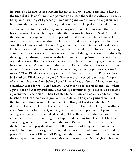lip busted or he came home with his lunch taken away. I had to explain to him all the time that kids don't know and parents don't teach them about culture and about being kind. In the past I probably would have gone over there and rang their neck, but I can't do that because it's not a good example. It's helped me in a lot of ways.

I always wanted to be a part of my uncle's organization – the dance and the frybread making. I remember my grandmother making fry-bread in Santa Cruz at the Mission. I always wanted to be a part of it, but I knew I couldn't because I was drinking or doing something. There were no ifs about it, I just couldn't. It's something I always wanted to do. My grandmother used to tell me when she was a kid how they would dance or sing. Sometimes she would dance for us in the living room, but I never knew what she was really doing. I thought she was just acting silly dancing. It's a dream. I remember the last time I was in prison, my uncle wrote to me and sent me a list of words to practice so I could learn the language. Every time he wrote to me, he'd send me another list and I'd learn them. They were all animal names, like owl, bear, deer. He just kept encouraging me. A part of me wanted to say, "Okay, I'll always be a drug addict. I'll always be in prison. I'll always be a bad mother. I'll always be no good." Part of me just wanted to say that. But part of me said, "No, you don't belong here." I knew I was different. I knew there was something more for me. I had dreams. I wanted to become an electrician. When I got sober and met my husband, I had the opportunity to go to school so I became a journeyman electrician. Then I wanted to paint cars and do auto body so I went to school and learned how to pull dents and do auto body and paint cars. I did that for about three years. I knew I could do things if I really wanted to. Now I do this. This is my place. This is what I want to do. I'm not looking for anything else. Now I work for the City of San Jose in the Parks Department. I plant flowers, mow grass, trim trees. I'm outside all day. I love the rain and thunder so I'm always outside when it's raining. I'm happy. I dance any time I can. If I feel like I'm getting an empty feeling, I say, "Marcus, let's dance!" He'll get the drum off the hook and he'll play the drum and I'll follow him with my rattle. We have a small living room and we go in circles and circles until I feel better. I've found my place. This is where I'll be until I'm gone. My kids – I'm so scared for them to go the wrong way, because I was there. My son loves to dance. My daughter, Summer,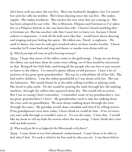she's been with my since she was five. She's my husband's daughter, but I've raised her and she calls me mother. She's been dancing since she was five. She makes regalia. She makes necklaces. She teaches the new ones that are coming in. She has been adopted by our tribe. She is Mexican, Filipino and German so I've taken her to a Filipino festival so she can learn that side. I haven't found anything that is German yet. She has another side that I want her to learn too, because I think culture is important. I wish all the kids were like that – could learn about dancing and singing and just feeling the spirit. My oldest son, David, is eighteen. He used to dance, but now he only gets involved when we have vendor booths. I know someday he'll come back and sing and dance or maybe even drum with us.

### *Q: What do you hope will come out of this honoring ceremony?*

Terry: I hope that more of the elders come to the gatherings. I hope we can bring the elders out and have them do some story telling, see if they would be interested in that. Bring all the little kids, and bring all the people who are lost or just anyone to listen to the elders. I've started a photo album of old pictures. I have a lot of pictures of my great-great grandmother. She was in a wheelchair all of her life. She had twelve children. I was the oldest grandchild so I was always with her. She was the babysitter. She would always be at the table rolling tortillas or playing cards. She loved to play cards. Or she would be putting the wash through her old washing machine, through the rollers that squeezed them dry. She would tell us stories. But I was so young I don't remember. I remember some of my grandmother's, but my great-grandmother's I don't. My grandmother used to take me walking down the river with my grandfather. We were always walking down through the river through the water. My grandpa would chase crawdads and they'd be telling stories. If my grandparents were here today, I don't think we could do that. A lot of rivers, you can't walk through or wouldn't want to. It's not the same. I miss that. I would like my mom to tell my kids the stories when she was young. I don't think she's ever told my kids stories.

### *Q: What would you like to see happen for the Ohlone people in the future?*

Terry: I want them to not feel ashamed, embarrassed. I want them to be able to feel what I feel. It's such a relief to be free and be who you are. I was there before.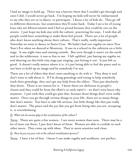I had an image to hold up. There was a barrier there that I couldn't get through and once I did, I would never go back. I'm hoping my kids will never be embarrassed to say who they are or to dance, to participate. I know a lot of kids do. They go off in different directions, but sometimes they'll come back. Today I see a lot of young boys who are fifteen/sixteen and I feel so proud because they could be out on the streets. I just hope my kids stay with the culture, practicing the ways. I wish that all people could have something to make them feel proud. There are a lot of people who don't know anything about their culture. That's really, really important. Yesterday we went to dance in Santa Cruz. We hadn't had our regalia on since New Year's Eve when we danced at Monterey. It was in a school in the cafeteria on a little stage. It was night time and raining outside. But even though it wasn't on the earth and in the wilderness, it was so fun to me. I felt uplifted, just having my regalia on and dancing on this little tiny stage just singing, just letting it out. It just felt so good. It doesn't really matter where it is, it's just being able to feel the peace and to not have to hold up an image and be somebody I'm not.

There are a lot of elders that don't want anything to do with it. They deny it and don't want to talk about it. If I'm doing genealogy and trying to help somebody track their genealogy, they can't get any help from the elders. They just absolutely shut down. There is no reason for it. I know there are skeletons in people's closets and they could be from the 1800's or early 1900's – we don't even know why anymore. I just wish they could get past that, because those things don't even really matter. Once you go through certain things in your life, there are so many things that don't matter. You have to take life serious, but little things like that just really don't matter. The peace and the joy that you get from being who you are, accepting it, is overwhelming.

### *Q: What role do women play in the revitalization of the culture?*

Terry: There are quite a few women. I see more women than men. There may be a lot of men out there; I just don't know of them. Women are able to confide in each other more. They come up with ideas. They're more sensitive and close.

*Q: How do you see your role in the cultural revitalization process?*

Terry: I have a lot of fear. I know I can make regalia and necklaces, not perfect,

*Restoring A California Legacy* 101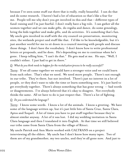because I've seen some stuff out there that is really, really beautiful. I can do that and do some research. I haven't had a lot of education so that's like a fear for me. People tell me why don't you get involved in this and that – different types of fund-raising and I'm just fearful. I don't really have a big role. I can gather all the women together and we can make gifts, do regalia and dance, do some genealogy, bring the kids together and make gifts, and do activities. It's something that's fun. My uncle gets involved in stuff with the city council on preservation, monitoring sites, the wetlands project and stuff like that. I'd like to be knowledgeable, but it's just another world for me to sit down in a council meeting with people and discuss those things. I don't have the vocabulary. I don't know how to write professional letters or proposals, and he does. He's depending on me to continue when he's gone. I keep telling him, "I can't do that." He gets mad at me. He says, "Well, I couldn't either. I just had to get in there."

# *Q: What do you think needs to happen for the revitalization process to be really successful?*

Terry: If we all came together we would have a stronger voice and we could learn from each other. That's what we need. We need more people. There's not enough in our tribe. They're there, but not involved. There's just no interest in a lot of people, or they don't want to take the time or learn something new. It's just hard to get everybody together. There's always something that has gone wrong -- bad words or disagreements. I've always believed that it's okay to disagree. Not everybody thinks the same. All we have to do is just respect that. There's a lot of fighting.

#### *Q: Do you understand the language?*

Terry: I know some words. I know a lot of the animals. I know a greeting. We have some of the language written up, but it's just little bits of Santa Cruz, Santa Clara, Aptos and Soquel. A lot of times you have to put stuff together because they're almost similar anyway. A lot of it was lost. I did my wedding invitation in Santa Clara language and then I translated it into English. At that time we still believed our tribe came from Santa Clara from the village of Ritoci.

My uncle Patrick and Ann Marie worked with CALTRANS on a project interviewing all the elders. My uncle has I don't know how many tapes. Two of them are of my grandmother, my two uncles, and they're all gone now. And just to

#### 102 *Ohlone Women Elders*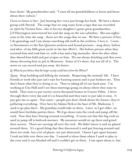hear them! My grandmother said, "I want all my grandchildren to learn and know about their culture."

I love to listen to her. Just hearing her voice just brings her back. We have a dance group with Patrick. The songs that we sing come from a tape that was recorded in 1902 by Viviana Soto, who is his two daughter's great-great grandmother. J.P.Harrington interviewed her and she sang on the wax cylinders. She was eightynine at the time she sang – those are the songs that we use. We have a picture of her. I do genealogy and I am always searching old stuff in the archives. I love it. I went to Sacramento to the San Quentin archives and found pictures – mug shots, before and after, of my fifth great uncle in the late 1800's. His before picture when they arrested him and took him in, with a hat and a big mustache, then the after when they shaved him bald and put stripes on him. He was always drinking and they were always throwing him in jail in Monterey. Some of it's there, but not all of it. The more we can record and put away, the better.

#### *Q: What do you believe that the larger society could learn from the Ohlone?*

Terry: Stop building and killing the animals. Respecting the animals' life. I have friends at work who just can't wait for hunting season and it just bothers me. They don't know what they're doing to us. They're taking all of our land away. I'm working at City Hall and I see these meetings going on about where they want to build. They want to put twenty-seven thousand homes in Coyote Valley. I drive through there every day and it's so beautiful and they want to just take it away. It just gets me so upset. Our water – people just don't think about the future; they're polluting everything. Over here by Adams Park at the base of Mt. Madonna, I used to go play there. My grandma would take us there. Later, as I got older, we would have birthday parties there. We'd go down into the creek and jump off the rock. Now they have fencing around everything. It turns out that this big rock we used to jump off is bedrock mortars. My ancestors would sit up there and grind their acorns. There are carvings all over the rock. We didn't know it and we played around there. It's a good thing that they discovered it and put fencing around and there are trails, but a lot of places, are just destroyed. I know I got upset because I took my kids over there one day. I wanted to show them where I used to play in the river and it was blocked off and I couldn't get in there. I was upset about it, but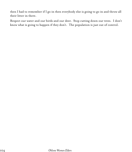then I had to remember if I go in then everybody else is going to go in and throw all their litter in there.

Respect our water and our birds and our deer. Stop cutting down our trees. I don't know what is going to happen if they don't. The population is just out of control.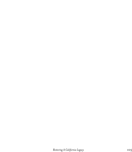*Restoring A California Legacy* 105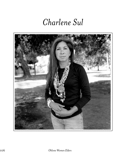# *Charlene Sul*

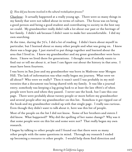# *Q: How did you become involved in the cultural revitalization process?*

Charlene: It actually happened at a really young age. There were so many things in my family that were not talked about in terms of culture. The focus was on being a good person and being a good student and contributing to society in the best way we could. My grandmother really didn't talk a lot about our past or the heritage of her family. I didn't ask because I didn't want to make her uncomfortable. I did my own searching.

At the time, during the 70's, I did a lot of reading. I didn't learn about myself in particular, but I learned about so many other people and what was going on. I knew there was a huge gap. I just started to put things together and learned about the area that I lived in. I knew my grandmother and my great-grandmother were born there. I knew we lived there for generations. I thought even if nobody wants to find out or tell me about it, at least I can figure out about the history in that area. I must have been fourteen.

I was born in San Jose and my grandmother was born in Madrone near Morgan Hill. The lack of information was what really began my journey. What were we all about? Who were we really? Then it wasn't until I was probably in my midtwenties that a document was being shared with my family. It was like a journal entry; somebody was keeping a log going back to at least the late 1800's of when people were born and when they passed. I never saw the book, but I saw this one page. There were probably about twenty people or more before my grandmother and several people after my grandmother on this list. Somehow it got ripped out of the book and my grandmother ended up with that single page. I really was curious. Even though they didn't want to talk about it, here was this list of people.

Most of the people on the list I did not know. Some of her brothers and sisters I did know. What happened? Why did the spelling of her name change? Why was it that some people were on this list and some were not? That really began my own research.

I began by talking to other people and I found out that there were so many other people with the same questions in mind. Through my research I ended up becoming a resource to other people. I would help them find direction and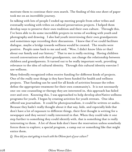motivate them to continue their own search. The finding of this one sheet of paper took me on an incredible journey.

In talking with lots of people I ended up meeting people from other tribes and eventually working with tribes on cultural preservation projects. I helped them develop ways to preserve their own tradition and their own culture. Through this, I've been able to do some incredible projects in terms of working with youth and photography and drawing. I also had youth interviewing their own grandparents and sometimes tape recording their discussions. I knew that if we could facilitate dialogue, maybe a bridge towards wellness would be created. The results were positive. People came back to me and said, "Wow, I didn't know (this or that) about our family and our history." That to me is really exciting. Having children record conversations with their grandparents, can change the relationship between children and grandparents. It turned out to be really important work, providing relevance to the idea of cultural identity. Through this cultural identity exercise I saw wellness.

Many federally recognized tribes receive funding for different kinds of projects. One of the really neat things is they have been funded for health and wellness projects. That funding can be used for all kinds of activities because the tribes define the appropriate treatment for their own community's. It is not necessarily one-on-one counseling or therapy they are interested in, this approach has failed over and over. Knowing this, I was approached to help develop alterNative wellness programs for youth. I began by creating activities for youth retreats. One idea offered was journalism. It could be photojournalism, it could be written or audio. Because they hadn't really thought about it that way, kids, and especially kids that don't have a lot of exposure to different things, their first thought is writing for a newspaper and they weren't really interested in that. When they could take it one step further to something they could identify with, that is something that is really interesting to them. A lot of those kids don't leave the reservation unless somebody forces them to explore; a special program, a camp out or something like that might entice them.

*Q: How did you start getting in touch with the Ohlone part of your culture?*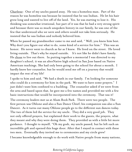Charlene: One of my uncles passed away. He was a homeless man. Part of the reason he was homeless was because he insisted that he was Indian. He let his hair grow long and wanted to live off of the land. Yes, he was starting to lose it. His thinking was somewhat irrational, but part of it was that he had a very strong spirit and because there was so much unspoken history in our family, he was one of the few that understood who we were and others would not take him seriously. He insisted that he was Indian and nobody believed him.

When he passed my grandmother came to me and said, " Well, you knew him best. Why don't you figure out what to do, some kind of a service for him." This was an honor. He never went to church as far as I knew. He lived on the street. He loved living outside. That's why he stayed outside. It's not like he didn't have family. He chose to live out there. In putting together a memorial I was directed to my daughter's school, it was an alterNative high school in San Jose based on Native American teachings. She had only been going to the school for about a month. I hardly knew her counselor, but he would send me off on a journey that would impact the rest of my life!

I spoke to him and said, "We had a death in our family. I'm looking for someone who could do a ceremony for him in the park. We want to have some prayers." I just didn't want him confined to a building. The counselor asked if we were from the area and based upon that, he gave me a few names and provided me with a few basic instructions that would be incorporated into the ceremony. That was it!

The ceremony leaders met us at Alum Rock Park. There were two people. The first person was Ohlone and also a Sun Dance Chief; his companion was also a Sun Dancer. As it turns out many Ohlone people go to the different sun dances today. The two of them led the service for my uncle. They did a very good job. They not only offered prayers, but explained their work to the guests, the prayers, what they meant and why they were doing them. They provided us with a little bit more guidance. I thought to myself, "Oh my gosh, my uncle passed, but he left such an incredible gift and opened this huge door. After that I stayed in contact with these two men. Eventually they invited me to ceremonies and my circle grew!

I became knowledgeable enough to do work with Native people from many nations,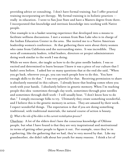providing advice or consulting. I don't have formal training, but I offer practical training incorporating art therapy. My formal training is in holistic practices - really in education. I went to San Jose State and have a Masters degree from there. I incorporated that knowledge and intrinsic knowledge into working with Native people.

One example is in a basket weaving experience that developed into a means to facilitate wellness discussions. I met a woman from Bass Lake who is in charge of the Indian Education Center in the area. She invited me to a Native American leadership women's conference. At that gathering there were about thirty women who came from California and the surrounding states. It was incredible. They were all community leaders, tribal leaders, directors or project administrators doing work similar to the work I was doing.

While we were there, she taught us how to do the pine needle baskets. I was so excited and determined to learn because I knew it was a piece of our culture that I hadn't seen before. I asked her so many questions that at the end she said, "When you go back, wherever you go, you can teach people how to do this. You have enough skills to do that." I was very grateful for that. Receiving permission to share is absolutely essential in this culture. I already know that healing comes when you work with your hands. I absolutely believe in genetic memory. When I'm teaching people this idea –sometimes through clay work, sometimes through pine needles and sometimes through shell work – I will usually hear, "I don't know how to do that." I simply encourage folks to try. Ultimately they create something wonderful, and I believe this is the genetic memory in action. They are amazed by their work. I expect wonderful things. The expectation is that if you are doing something traditional, with traditional materials, the natural course of action is beauty.

*Q: What is the role of the elders in this current revitalization process?*

Charlene: A lot of the elders don't have the conscious knowledge of Ohlone people, but what I have found is that they are very inspirational and motivational in terms of getting other people to figure it out. For example, once they're in a gathering, like the gathering that we had, they're very moved by that. Like my grandmother, she didn't talk about her youth for many reasons. I think a lot of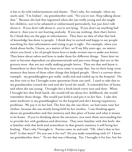it has to do with embarrassment and shame. That's why, for example, when my uncle said, "I'm Indian", my grandmother said, "No you're not. Stop talking about that." Because she had that ingrained when she was really young and she taught her children, not to be ashamed or embarrassed particularly, but just don't talk about it. If you don't talk about it, you're not lying. If you don't say anything bad about it, then you're not hurting anybody. If you say nothing, then that's better. So I think they see the gaps in information. They have an idea of what that lack of knowledge has done to people. I think they're excited and happy to see people searching for that information and trying to get it right. For example, when you think about herbs, I know, as a matter of fact, we'll say fifty years ago, no matter where you lived, a lot of people knew how to make certain teas to make you better. They knew about salves and how to make them for different things. Years later we start to become dependent on pharmaceuticals and just even things that are in the grocery store that are not really making people better. They see that and know it. Somewhere in their lives they have even come to accept that, but in their long-term memory they know of these other things that helped people. Here's a current short example: my granddaughter got really, really sick and ended up in the hospital. On my first visit to her I brought some spearmint from our yard. I used to take that to my grandmother toward the end and she loved the smell. It reminded her of home and when she was young. I brought her a fresh batch every now and then. When I brought her that fresh batch, she would tell me about her childhood; she would remember those things. She would just hold it and put it in her face. I take this same medicine to my granddaughter in the hospital and she's having respiratory problems. We put it in her bed. The first day she was there, we had some near her clothes, because she was mostly being held by her mother. I was thinking again about my grandmother and that memory and that place of home and what it means to be home. If you're thinking about the ancestors, you want them surrounding her to provide her with guidance and direction. They were familiar with this herb; she is familiar with that herb and somewhere in that genetic memory it will bring her healing. That's why I brought it. Nurses came in and said, "Oh, what's that in her bed? Is that mint? Do you use it for tea? Do you make something with it? I know my grandmother does." To me that was a blessing. Yes, I brought it for her, but for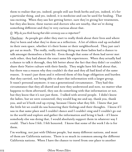them to realize that yes, indeed, people still use fresh herbs and yes, indeed, it's for a particular thing, and yes, indeed, it is medicine and can be used for healing. That was exciting. When they saw her getting better, sure they're giving her treatments, but they also know, these nurses and doctors who are nearby, that we're doing something different and they're very curious about that.

#### *Q: Why do you think having that elder ceremony was so important?*

Charlene: As people get older they start to really think about their lives and where they've been and what they've done as a reflection. A lot of elders end up secluded in their own space, whether it's their home or their neighborhood. They just can't get out as much. The really, really exciting thing was these ladies had a chance to talk amongst themselves a little bit. Even though that some of them had never met each other, they had almost the exact same life experiences. When they actually had a chance to talk it through, they felt better about the fact that they didn't or couldn't share their Native culture with their family. They might have felt bad about that, but there was a reason why they couldn't do that and they all had kind of the same reason. It wasn't just them and it relieved them of this huge obligation and burden that they carried, not being able to share that information with a larger group. It wasn't personal anymore; it was a generational circumstance. They had this circumstance that they all shared and now they understood and now, no matter what happens to them afterward, they can do something with that information or not, but they know that it's not just them. I talked with several people. I didn't know the ladies, but we were connected; they would hug me and say, thank you, thank you, and we'd both end up crying, because I knew what they felt. I knew that just the little bit we could do was honoring their feelings and their thoughts. I know if I was in that same place and I couldn't dance and I couldn't sing and I couldn't go out in the world and explore and gather the information and bring it back – if I knew somebody else was doing that, I would absolutely support them in whatever way I could. That's how I felt. I felt honored. I know that some of the work I do is for them.

I'm working, not just with Ohlone people, but many different nations, and most of them are California nations. There is so much in common among the different California nations. When I have the chance to travel from one place to another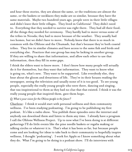and hear these stories, they are almost the same, or the traditions are almost the same, or the baskets or necklaces they make are so similar, because they have the same materials. Maybe two hundred years ago, people were in their little villages and didn't leave their little villages. They lived in California! They didn't need to. Everything that they needed to survive was right there. They had all their food, all the things they needed for ceremony. They hardly had to move versus some of the tribes in Nevada; they had to move because of the weather. They usually had two homes, but we didn't have to move. Nobody knew that there is so much in common with the Ohlone and the Chumash, but that's because they're both coastal tribes. They live in similar climates and have access to the same fish and birds and everything else. Practices that one group has may be lacking in another group. If they are willing to share that information, and allow each other to use that information, then they fill in some gaps.

I think the elders want to know more. I don't know how many people will actually do it for themselves, but they want that information. They want to know what is going on, what's new. They want to be supported. Like everybody else, they hear about the gloom and dreariness of life. They're in their houses reading the newspaper, seeing the television and usually none of it is too good. To see young people, especially the really young people who were there, dancing and singing, that was inspirational to them as they had no clue that that existed. I think it was the really young people that inspired them, gave them hope.

# *Q: What is your vision for the Ohlone people in the future?*

Charlene: I think it would start with personal wellness and then community wellness. I've been studying podcasting. I'm going to be publishing my first podcast. It's like a radio show. You publish these episodes onto the internet and anybody can download them and listen to them any time. I already have a program I call the Ohlone Wellness Project. Up to now what I've been doing is at different gatherings I'll do little events like the pine needle baskets or regalia making or talking circles or whatever it is. That's what it has been so far, but because people come and are looking for ideas to take back to their community to hopefully inspire wellness, I thought 'podcasting'. I work for Apple so I know something about what they do. What I'm going to be doing is a podcast show. I'll do interviews with

#### *Restoring A California Legacy* 113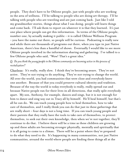people. They don't have to be Ohlone people, just with people who are working in the area of wellness. I'll be talking to people who are doing art therapy. I'll be talking with people who are traveling and are just coming back. Just like I told my grandmother stories, things about what I was doing, people will learn things and come back. I'll ask them to report on whatever it is that they learned. It's just one place where people can get this information. In terms of the Ohlone people, number one, by actually making it public – it is called Ohlone Wellness Program – you have the name out there, so people will be curious. Podcasting is really new and while there are thousands of programs out there, when you type in just Native American, there's less than a handful of shows. Eventually I would like to see more Ohlone people involved in the information sharing and gathering. I've talked to a few Ohlone people who said, "Wow! That's a great idea."

# *Q: Do you think the young people in the Ohlone community are becoming active in this process of revitalization?*

Charlene: It's really, really slow. I think they're becoming aware. They're not active. They're not trying to do anything. They're not trying to change the world. All over the world, you had communities that were close and everybody knew one another. Because of that you could preserve cultural identity and tradition. Because of the way the world is today everybody is really, really spread out and because Native people ran for their lives in all directions, that really split everybody apart. My son, Anthony, for example, dances and sings, but it is not enough for him to dance and sing way out in Tracy all by himself. He'll heal himself, but that's all he can do. We can teach young people how to heal themselves, how to take care of themselves, and I really think you can do that just in these gatherings that are really short – four days is not a long time. If you can teach young people and their parents that they really have the tools to take care of themselves, to protect themselves, to seek out their own knowledge, then when we're not together, they'll continue to do that. I believe there will be a time as these children are growing up and these adults are becoming stronger physically, mentally and spiritually that it is all going to come to a climax. There will be a point where they're prepared to do what they need to do. It's happening in many communities, not just Native communities, around the world where people are finding these things all at the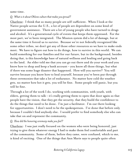same time.

#### *Q: What is it about Ohlone culture that makes you proud?*

Charlene: I think that so many people are self-sufficient. When I look at the Native people across the U.S., a lot of people are dependent on some kind of government assistance. There are a lot of young people who have turned to drugs and alcohol. It's a generational cycle of events that keeps them oppressed. For the most part, we've been integrated. The Mission system did a lot of damage, but at the same time it forced us to survive. Because we're not federally recognized like some other tribes, we don't get any of those other resources so we have to make ends meet. We have to figure out how to do things, how to survive in this world. We can build something for our families and for our future, but in the background, besides doing that, is this knowledge base of natural wellness and healing and going back to the land. An elder told me that you can go out there and do your work and you know how to shop and keep a bank account – you know all those things, but what if there was some huge disaster that happened. How will you survive? You will survive because you know how to heal yourself, because you've been put through these ceremonies that take a lot of endurance. No matter how cold the weather gets, no matter how hot it gets, you will be fine. Some people will panic, but you will be fine.

Through a lot of the work I do, working with communities, with youth, with elders, getting them to talk – it's really getting them to open that door again so that people have the vision, that they get the security, that they build the confidence to do the things that need to be done. I'm just a facilitator. I'm out there looking for opportunities. I don't need to be the spokesperson. I've done that before only because I couldn't find anybody else. I would prefer to find somebody else who can take that on and represent the community.

# *Q: How did the honoring ceremony make you feel?*

Charlene: I was just really focused on the women who were being honored, just trying to give them whatever energy I had to make them feel comfortable and part of the community. Some of them, before they came, were confused, which to me, is kind of exciting. One of the things that Ann Marie says to people quite often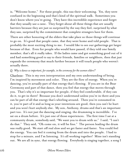is, "Welcome home." For these people, this was their welcoming. Yes, they were confused in the beginning and that's kind of the spiritual walk. Sometimes you don't know where you're going. They have this incredible experience and forget that they usually use a cane. They forget about all these things that are usually barriers because they are just so surprised by the way they feel, surprised by what they saw, surprised by the commitment that complete strangers have for them.

There are other honoring of the elders that take place so those things will continue to go on. It's good that people came, that they went home and told people. That is probably the most exciting thing to me. I would like to see our gatherings get larger because of that. Even for people who would have passed, if they told one family member, that's all it really takes. If the ladies came and got something good out of it and had something good to say to their friends, families or neighbors, then that just expands the ceremony that much further because it will touch people who weren't actually there.

#### *Q: Why is dance so important, for example, in the ceremony for the women elders?*

Charlene: This is my own interpretation and my own understanding of being. I'm inspired by movement and color. They are the flow of energy. When you're dancing, you're actually part of that energy that's flowing. If you are in the Bear Ceremony and part of that dance, then you feel that energy that moves through you. That's why it's so important for people, if they feel comfortable, if they can do it, to get in there! Because you don't understand unless you're in there and you can be part of all that energy that's whirling around. Then you're consumed in it, you're part of it and as long as your intentions are good, then you can't be hurt and you won't hurt anybody else. My son, Anthony, drums and that's an important part too. It's not just the dancing and singing, the drumming is incredible. I've sat on a drum before. It's just one of those experiences. The first time I sat at a community drum, somebody said, "We want you to drum with us." I said, "I can't do that." They said, "Oh come on, it will be fine." The person leading the drum was really good. We start off real slow and we get faster and faster. You could feel the energy. You can feel it coming from the drum and into the people. I had to stop for a minute, and I'm listening. It's all working together! Mine isn't standing out. We are all in sync, that energy flowing. Everybody is singing together, a song I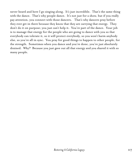never heard and here I go singing along. It's just incredible. That's the same thing with the dance. That's why people dance. It's not just for a show, but if you really pay attention, you connect with those dancers. That's why dancers pray before they ever get in there because they know that they are carrying that energy. They don't do it on purpose; you just can't help it. You're part of the dance. Your job is to manage that energy for the people who are going to dance with you so that everybody can tolerate it, so it will protect everybody, so you won't harm anybody else, so you're all in sync. You pray for good things to happen to other people, for the strength. Sometimes when you dance and you're done, you're just absolutely drained. Why? Because you just gave out all that energy and you shared it with so many people.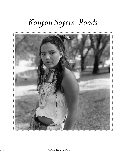# *Kanyon Sayers-Roads*

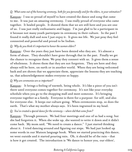# *Q: What came out of the honoring ceremony, both for you personally and for the elders, in your estimation?*

Kanyon: I was so proud of myself to have created the dance and song that came to me. It was just an amazing ceremony. I was really proud of everyone who came together. It healed people. It showed them that we are still here and you are one of us. I was just really enthusiastic and happy. I'm just glad to be a participant in it because not many youth participate in ceremony in their culture. In the past I found it really dull and now I just enjoy it. It gives me life. We just pray they feel connected and powerful and proud to be Indian.

# *Q: Why do you think it's important to honor the women elders?*

Kanyon: Over the years they just have been denied who they are. It's almost a form of abuse. They shouldn't have gone through that in the past. Finally we get the chance to recognize them. We pray they connect with us. It gives them a sense of wholeness. It shows them that they are not forgotten. They are here and they always will be here, on earth or in another world. When they are being welcomed back and are shown that we appreciate them, appreciate the lessons they are teaching us, that acknowledgement makes everyone so happy.

## *Q: Why are ceremonies are so important?*

Kanyon: It brings a feeling of warmth, being whole. It's like a piece of you isn't there until everyone comes together for ceremony. It's not like your everyday schedule when you go to the shopping mall and meet someone. It's bringing everyone together as a family. Everyone is there for a purpose: for self, and also for everyone else. It keeps our culture going. When ceremonies stop, so does the earth. That's what my mother always says. It's been ingrained in my head.

## *Q: You've created a special dance for the ceremony – where did that come from?*

Kanyon: Through pressure. We had four meetings and one of us had a song, but she had forgotten it. When she woke up, she wanted to write it down and it didn't come back. My mom said, "We need to create a dance." I just started thinking about it. I tried dancing around and figuring out steps. We had just looked up some words in our Mutson language book. When we started practicing this dance, we went outside and it started pouring rain. Oh, it should be of the rain – that is how it got created. The introduction is 'We dance to honor you, our elders',

## *Restoring A California Legacy* 119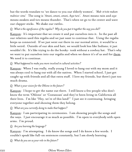but the words translate to 'we dance to you our elderly women'. *'Mak-et tcite makam muknive-sima'* The song is '*Amani, amani, amani, Auye tura'*. *Amani* means rain and *auye* means awaken and *tura* means thunder. That's when we go to the center and wave our clapper sticks. We shake our rattles.

# *Q: What is the significance of the regalia? Why do you put it together the way you did?*

Kanyon: It's important that we create it and put ourselves into it. In the past all our relatives used this regalia and we just want to continue that. Using the regalia keeps us connected. If we just went out there in our normal attire, it would be a little weird. Outside of our skin and hair, we would look less like Indians; it just wouldn't fit. It's like trying to do the honky- tonk without a cowboy hat. That's why we want to put ourselves into our regalia and when we dance it's of us and for them. We need it to continue.

# *Q: What happened to make you more involved in cultural activities?*

Kanyon: When I was really, really young I loved to hang out with my mom and it was always cool to hang out with all the natives. When I started school, I just got caught up with friends and all that extra stuff. I love my friends, but there's just too much drama.

## *Q: What is your vision for the Ohlone in the future?*

Kanyon: I hope to get the name out there. I still know a few people who don't know the term 'Ohlone' or 'Costanoan' and they've been living in California all their lives. I'm like "Hey, we're of this land!" I just see it continuing, bringing everyone together and showing them they belong.

## *Q: What are you currently doing to make that happen?*

Kanyon: I am participating in ceremonies. I am showing people the songs and the ways. I just encourage it as much as possible. I'm open to everybody with open arms. I'm proud.

## *Q: Are you learning the language?*

Kanyon: I'm attempting. I do know the songs and I do know a few words. I couldn't speak like full-on sentences constantly, but I am slowly learning.

*Q: What do you see as your role in the future?*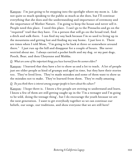Kanyon: I'm just going to be stepping into the spotlight where my mom is. Like not quite so much speaking to the public as much as she does, but I'll continue everything that she does and the understanding and importance of ceremony and the importance of Mother Nature. I'm going to keep the house and never sell it. People need this place. I need this place. I can't go to the Pinnacles and go on the "required" trail that they have. I'm a person that will go on the broad trail, find a ditch and walk there. I can find my way back because I'm so used to living up in the mountains and getting lost and finding my way home. I just love it. There are times when I told Mom, "I'm going to be back at three or somewhere around there." I just run up the hill and disappear for a couple of hours. She never worried about me. I always carried a pocket knife and my dog, or my past dogs, Pooch, Bear, and then Cheyenne and Mishka.

# *Q: What are some of the important things you have learned from the women elders?*

Kanyon: I learned that they have a lot to show us and a lot to teach. A lot of people just see older people as kind of grumpy and aged in time, but they have their stories too. They've lived lives. They've made mistakes and some of them want to show us the mistakes not to make. They've learned from them. They're really amazing.

#### *Q: Do you think there is interest among younger people to learn about the culture?*

Kanyon: I hope there is. I know a few people are striving to understand and learn. I know a few of them are still getting caught up in the 'I'm a teenager and I'm going to be wild, doing the teenage thing', but I do encourage the youth because we are the next generation. I want to get everybody together so we can continue our beliefs, our songs, our traditions, and show everyone that we are still here!